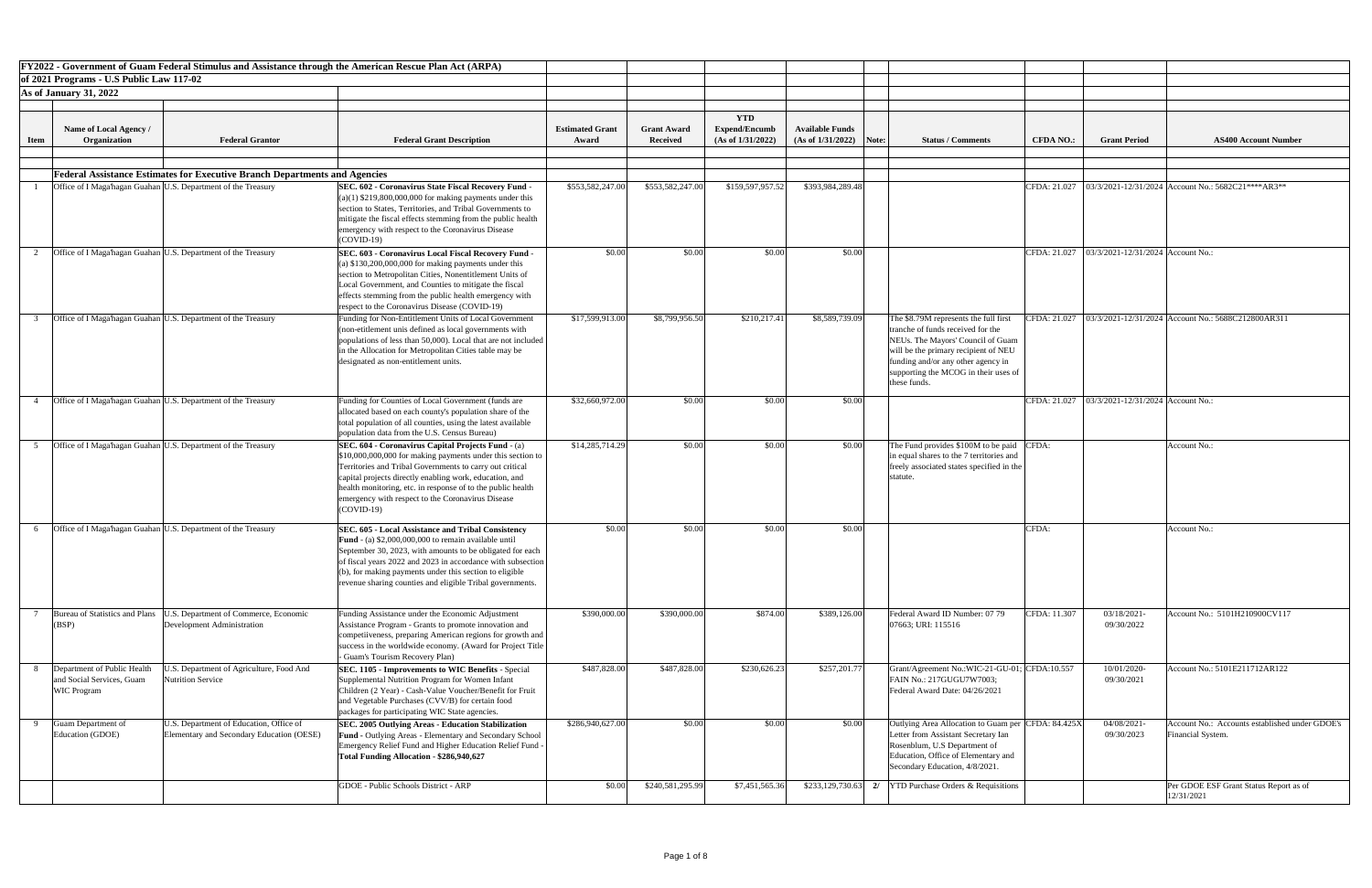|             | FY2022 - Government of Guam Federal Stimulus and Assistance through the American Rescue Plan Act (ARPA)    |                                                                                      |                                                                                                                                                                                                                                                                                                                                                                                    |                        |                    |                                    |                           |                                                                                                                                                                                                                                                       |              |                                                    |                                                                     |
|-------------|------------------------------------------------------------------------------------------------------------|--------------------------------------------------------------------------------------|------------------------------------------------------------------------------------------------------------------------------------------------------------------------------------------------------------------------------------------------------------------------------------------------------------------------------------------------------------------------------------|------------------------|--------------------|------------------------------------|---------------------------|-------------------------------------------------------------------------------------------------------------------------------------------------------------------------------------------------------------------------------------------------------|--------------|----------------------------------------------------|---------------------------------------------------------------------|
|             | of 2021 Programs - U.S Public Law 117-02                                                                   |                                                                                      |                                                                                                                                                                                                                                                                                                                                                                                    |                        |                    |                                    |                           |                                                                                                                                                                                                                                                       |              |                                                    |                                                                     |
|             | <b>As of January 31, 2022</b>                                                                              |                                                                                      |                                                                                                                                                                                                                                                                                                                                                                                    |                        |                    |                                    |                           |                                                                                                                                                                                                                                                       |              |                                                    |                                                                     |
|             |                                                                                                            |                                                                                      |                                                                                                                                                                                                                                                                                                                                                                                    |                        |                    |                                    |                           |                                                                                                                                                                                                                                                       |              |                                                    |                                                                     |
|             | Name of Local Agency /                                                                                     |                                                                                      |                                                                                                                                                                                                                                                                                                                                                                                    | <b>Estimated Grant</b> | <b>Grant Award</b> | <b>YTD</b><br><b>Expend/Encumb</b> | <b>Available Funds</b>    |                                                                                                                                                                                                                                                       |              |                                                    |                                                                     |
| <b>Item</b> | Organization                                                                                               | <b>Federal Grantor</b>                                                               | <b>Federal Grant Description</b>                                                                                                                                                                                                                                                                                                                                                   | Award                  | <b>Received</b>    | (As of 1/31/2022)                  | $(As of 1/31/2022)$ Note: | <b>Status / Comments</b>                                                                                                                                                                                                                              |              | <b>Grant Period</b><br><b>CFDA NO.:</b>            | <b>AS400 Account Number</b>                                         |
|             |                                                                                                            |                                                                                      |                                                                                                                                                                                                                                                                                                                                                                                    |                        |                    |                                    |                           |                                                                                                                                                                                                                                                       |              |                                                    |                                                                     |
|             | <b>Federal Assistance Estimates for Executive Branch Departments and Agencies</b>                          |                                                                                      |                                                                                                                                                                                                                                                                                                                                                                                    |                        |                    |                                    |                           |                                                                                                                                                                                                                                                       |              |                                                    |                                                                     |
|             | Office of I Maga'hagan Guahan U.S. Department of the Treasury                                              |                                                                                      | <b>SEC. 602 - Coronavirus State Fiscal Recovery Fund</b><br>$(a)(1)$ \$219,800,000,000 for making payments under this<br>section to States, Territories, and Tribal Governments to<br>mitigate the fiscal effects stemming from the public health<br>emergency with respect to the Coronavirus Disease                                                                             | \$553,582,247.00       | \$553,582,247.00   | \$159,597,957.52                   | \$393,984,289.48          |                                                                                                                                                                                                                                                       | CFDA: 21.027 |                                                    | $03/3/2021 - 12/31/2024$ Account No.: 5682C21****AR3**              |
|             | Office of I Maga hagan Guahan U.S. Department of the Treasury                                              |                                                                                      | $(COVID-19)$<br><b>SEC. 603 - Coronavirus Local Fiscal Recovery Fund</b><br>(a) $$130,200,000,000$ for making payments under this<br>section to Metropolitan Cities, Nonentitlement Units of<br>Local Government, and Counties to mitigate the fiscal<br>effects stemming from the public health emergency with<br>respect to the Coronavirus Disease (COVID-19)                   | \$0.00                 | \$0.00             | \$0.00                             | \$0.00                    |                                                                                                                                                                                                                                                       |              | CFDA: 21.027   03/3/2021-12/31/2024   Account No.: |                                                                     |
|             | Office of I Maga hagan Guahan U.S. Department of the Treasury                                              |                                                                                      | Funding for Non-Entitlement Units of Local Government<br>(non-etitlement unis defined as local governments with<br>populations of less than 50,000). Local that are not included<br>in the Allocation for Metropolitan Cities table may be<br>designated as non-entitlement units.                                                                                                 | \$17,599,913.00        | \$8,799,956.50     | \$210,217.41                       | \$8,589,739.09            | The \$8.79M represents the full first<br>tranche of funds received for the<br>NEUs. The Mayors' Council of Guam<br>will be the primary recipient of NEU<br>funding and/or any other agency in<br>supporting the MCOG in their uses of<br>these funds. |              | CFDA: 21.027                                       | $03/3/2021 - 12/31/2024$ Account No.: 5688C212800AR311              |
|             | Office of I Maga hagan Guahan U.S. Department of the Treasury                                              |                                                                                      | Funding for Counties of Local Government (funds are<br>allocated based on each county's population share of the<br>total population of all counties, using the latest available<br>population data from the U.S. Census Bureau)                                                                                                                                                    | \$32,660,972.00        | \$0.00             | \$0.00                             | \$0.00                    |                                                                                                                                                                                                                                                       |              | CFDA: 21.027   03/3/2021-12/31/2024   Account No.: |                                                                     |
|             | Office of I Maga hagan Guahan U.S. Department of the Treasury                                              |                                                                                      | <b>SEC. 604 - Coronavirus Capital Projects Fund - (a)</b><br>\$10,000,000,000 for making payments under this section to<br>Territories and Tribal Governments to carry out critical<br>capital projects directly enabling work, education, and<br>health monitoring, etc. in response of to the public health<br>emergency with respect to the Coronavirus Disease<br>$(COVID-19)$ | \$14,285,714.29        | \$0.00             | \$0.00                             | \$0.00                    | The Fund provides \$100M to be paid CFDA:<br>in equal shares to the 7 territories and<br>freely associated states specified in the<br>statute.                                                                                                        |              |                                                    | Account No.:                                                        |
|             | Office of I Maga hagan Guahan U.S. Department of the Treasury                                              |                                                                                      | <b>SEC. 605 - Local Assistance and Tribal Consistency</b><br><b>Fund</b> - (a) $$2,000,000,000$ to remain available until<br>September 30, 2023, with amounts to be obligated for each<br>of fiscal years 2022 and 2023 in accordance with subsection<br>(b), for making payments under this section to eligible<br>revenue sharing counties and eligible Tribal governments.      | \$0.00                 | \$0.00             | \$0.00                             | \$0.00                    |                                                                                                                                                                                                                                                       | CFDA:        |                                                    | Account No.:                                                        |
|             | Bureau of Statistics and Plans<br>Development Administration<br>(BSP)                                      | J.S. Department of Commerce, Economic                                                | Funding Assistance under the Economic Adjustment<br>Assistance Program - Grants to promote innovation and<br>competiiveness, preparing American regions for growth and<br>success in the worldwide economy. (Award for Project Title  <br>- Guam's Tourism Recovery Plan)                                                                                                          | \$390,000.00           | \$390,000.00       | \$874.00                           | \$389,126.00              | Federal Award ID Number: 07 79<br>07663; URI: 115516                                                                                                                                                                                                  |              | CFDA: 11.307<br>03/18/2021<br>09/30/2022           | Account No.: 5101H210900CV117                                       |
|             | Department of Public Health<br><b>Nutrition Service</b><br>and Social Services, Guam<br><b>WIC Program</b> | J.S. Department of Agriculture, Food And                                             | <b>SEC. 1105 - Improvements to WIC Benefits - Special</b><br>Supplemental Nutrition Program for Women Infant<br>Children (2 Year) - Cash-Value Voucher/Benefit for Fruit<br>and Vegetable Purchases (CVV/B) for certain food<br>packages for participating WIC State agencies.                                                                                                     | \$487,828.00           | \$487,828.00       | \$230,626.23                       | \$257,201.77              | Grant/Agreement No.:WIC-21-GU-01; CFDA:10.557<br>FAIN No.: 217GUGU7W7003;<br>Federal Award Date: 04/26/2021                                                                                                                                           |              | 10/01/2020-<br>09/30/2021                          | Account No.: 5101E211712AR122                                       |
|             | Guam Department of<br>Education (GDOE)                                                                     | U.S. Department of Education, Office of<br>Elementary and Secondary Education (OESE) | <b>SEC. 2005 Outlying Areas - Education Stabilization</b><br><b>Fund - Outlying Areas - Elementary and Secondary School</b><br>Emergency Relief Fund and Higher Education Relief Fund -<br>Total Funding Allocation - \$286,940,627                                                                                                                                                | \$286,940,627.00       | \$0.00             | \$0.00                             | \$0.00                    | Outlying Area Allocation to Guam per CFDA: 84.425X<br>Letter from Assistant Secretary Ian<br>Rosenblum, U.S Department of<br>Education, Office of Elementary and<br>Secondary Education, 4/8/2021.                                                    |              | 04/08/2021<br>09/30/2023                           | Account No.: Accounts established under GDOE's<br>Financial System. |
|             |                                                                                                            |                                                                                      | GDOE - Public Schools District - ARP                                                                                                                                                                                                                                                                                                                                               | \$0.00                 | \$240,581,295.99   | \$7,451,565.36                     |                           | $\left  \frac{233,129,730.63}{27} \right $ 2/   YTD Purchase Orders & Requisitions                                                                                                                                                                    |              |                                                    | Per GDOE ESF Grant Status Report as of<br>12/31/2021                |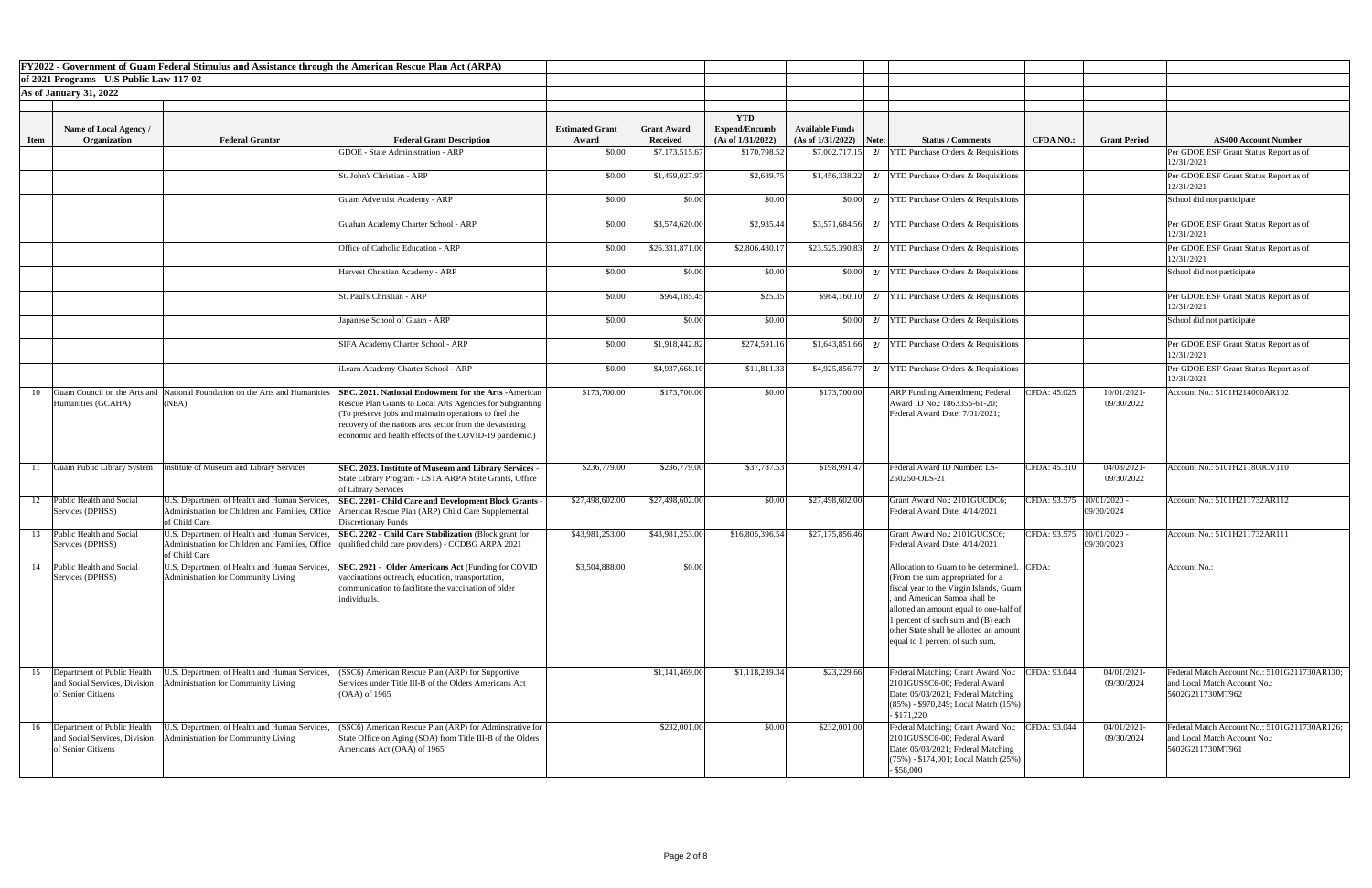|             |                                                                                        | FY2022 - Government of Guam Federal Stimulus and Assistance through the American Rescue Plan Act (ARPA)            |                                                                                                                                                                                                                                                                                                          |                        |                    |                                    |                           |                                                                                                                                                                                                                                                                                                                        |                             |                           |                                                                                                  |
|-------------|----------------------------------------------------------------------------------------|--------------------------------------------------------------------------------------------------------------------|----------------------------------------------------------------------------------------------------------------------------------------------------------------------------------------------------------------------------------------------------------------------------------------------------------|------------------------|--------------------|------------------------------------|---------------------------|------------------------------------------------------------------------------------------------------------------------------------------------------------------------------------------------------------------------------------------------------------------------------------------------------------------------|-----------------------------|---------------------------|--------------------------------------------------------------------------------------------------|
|             | of 2021 Programs - U.S Public Law 117-02                                               |                                                                                                                    |                                                                                                                                                                                                                                                                                                          |                        |                    |                                    |                           |                                                                                                                                                                                                                                                                                                                        |                             |                           |                                                                                                  |
|             | <b>As of January 31, 2022</b>                                                          |                                                                                                                    |                                                                                                                                                                                                                                                                                                          |                        |                    |                                    |                           |                                                                                                                                                                                                                                                                                                                        |                             |                           |                                                                                                  |
|             |                                                                                        |                                                                                                                    |                                                                                                                                                                                                                                                                                                          |                        |                    |                                    |                           |                                                                                                                                                                                                                                                                                                                        |                             |                           |                                                                                                  |
|             | Name of Local Agency /                                                                 |                                                                                                                    |                                                                                                                                                                                                                                                                                                          | <b>Estimated Grant</b> | <b>Grant Award</b> | <b>YTD</b><br><b>Expend/Encumb</b> | <b>Available Funds</b>    |                                                                                                                                                                                                                                                                                                                        |                             |                           |                                                                                                  |
| <b>Item</b> | Organization                                                                           | <b>Federal Grantor</b>                                                                                             | <b>Federal Grant Description</b>                                                                                                                                                                                                                                                                         | Award                  | <b>Received</b>    | (As of 1/31/2022)                  | $(As of 1/31/2022)$ Note: | <b>Status / Comments</b>                                                                                                                                                                                                                                                                                               | <b>CFDA NO.:</b>            | <b>Grant Period</b>       | <b>AS400 Account Number</b>                                                                      |
|             |                                                                                        |                                                                                                                    | <b>GDOE</b> - State Administration - ARP                                                                                                                                                                                                                                                                 | \$0.00                 | \$7,173,515.67     | \$170,798.52                       | $$7,002,717.15$ 2/        | <b>YTD Purchase Orders &amp; Requisitions</b>                                                                                                                                                                                                                                                                          |                             |                           | Per GDOE ESF Grant Status Report as of<br>12/31/2021                                             |
|             |                                                                                        |                                                                                                                    | St. John's Christian - ARP                                                                                                                                                                                                                                                                               | \$0.00                 | \$1,459,027.97     | \$2,689.75                         |                           | \$1,456,338.22 2/ YTD Purchase Orders & Requisitions                                                                                                                                                                                                                                                                   |                             |                           | Per GDOE ESF Grant Status Report as of<br>12/31/2021                                             |
|             |                                                                                        |                                                                                                                    | Guam Adventist Academy - ARP                                                                                                                                                                                                                                                                             | \$0.00                 | \$0.00             | \$0.00                             |                           | $\vert 0.00 \vert \vert 2$   YTD Purchase Orders & Requisitions                                                                                                                                                                                                                                                        |                             |                           | School did not participate                                                                       |
|             |                                                                                        |                                                                                                                    | Guahan Academy Charter School - ARP                                                                                                                                                                                                                                                                      | \$0.00                 | \$3,574,620.00     | \$2,935.44                         |                           | $\overline{\text{33,571,684.56}}$ 2/ YTD Purchase Orders & Requisitions                                                                                                                                                                                                                                                |                             |                           | Per GDOE ESF Grant Status Report as of<br>12/31/2021                                             |
|             |                                                                                        |                                                                                                                    | Office of Catholic Education - ARP                                                                                                                                                                                                                                                                       | \$0.00                 | \$26,331,871.00    | \$2,806,480.1                      |                           | $\left  \frac{23,525,390.83}{27} \right $ 2/   YTD Purchase Orders & Requisitions                                                                                                                                                                                                                                      |                             |                           | Per GDOE ESF Grant Status Report as of<br>12/31/2021                                             |
|             |                                                                                        |                                                                                                                    | Harvest Christian Academy - ARP                                                                                                                                                                                                                                                                          | \$0.00                 | \$0.00             | \$0.00                             |                           | $\boxed{\$0.00}$ 2/   YTD Purchase Orders & Requisitions                                                                                                                                                                                                                                                               |                             |                           | School did not participate                                                                       |
|             |                                                                                        |                                                                                                                    | St. Paul's Christian - ARP                                                                                                                                                                                                                                                                               | \$0.00                 | \$964,185.45       | \$25.35                            |                           | $\left  \frac{1}{2} \right $ (160.10) 2/ [YTD Purchase Orders & Requisitions                                                                                                                                                                                                                                           |                             |                           | Per GDOE ESF Grant Status Report as of<br>12/31/2021                                             |
|             |                                                                                        |                                                                                                                    | Japanese School of Guam - ARP                                                                                                                                                                                                                                                                            | \$0.00                 | \$0.00             | \$0.00                             |                           | $\vert 0.00 \vert \vert 2$   YTD Purchase Orders & Requisitions                                                                                                                                                                                                                                                        |                             |                           | School did not participate                                                                       |
|             |                                                                                        |                                                                                                                    | SIFA Academy Charter School - ARP                                                                                                                                                                                                                                                                        | \$0.00                 | \$1,918,442.82     | \$274,591.16                       | $$1,643,851.66$ 2/        | <b>YTD Purchase Orders &amp; Requisitions</b>                                                                                                                                                                                                                                                                          |                             |                           | Per GDOE ESF Grant Status Report as of<br>12/31/2021                                             |
|             |                                                                                        |                                                                                                                    | iLearn Academy Charter School - ARP                                                                                                                                                                                                                                                                      | \$0.00                 | \$4,937,668.10     | \$11,811.33                        |                           | $\left  \frac{4,925,856.77}{2} \right $ 2/   YTD Purchase Orders & Requisitions                                                                                                                                                                                                                                        |                             |                           | Per GDOE ESF Grant Status Report as of<br>12/31/2021                                             |
| 10          | Humanities (GCAHA)                                                                     | Guam Council on the Arts and National Foundation on the Arts and Humanities<br>(NEA)                               | <b>SEC. 2021. National Endowment for the Arts - American</b><br>Rescue Plan Grants to Local Arts Agencies for Subgranting<br>(To preserve jobs and maintain operations to fuel the<br>recovery of the nations arts sector from the devastating<br>economic and health effects of the COVID-19 pandemic.) | \$173,700.00           | \$173,700.00       | \$0.00                             | \$173,700.00              | <b>ARP Funding Amendment; Federal</b><br>Award ID No.: 1863355-61-20;<br>Federal Award Date: 7/01/2021;                                                                                                                                                                                                                | CFDA: 45.025                | 10/01/2021-<br>09/30/2022 | Account No.: 5101H214000AR102                                                                    |
|             | Guam Public Library System                                                             | nstitute of Museum and Library Services                                                                            | SEC. 2023. Institute of Museum and Library Services -<br>State Library Program - LSTA ARPA State Grants, Office<br>of Library Services                                                                                                                                                                   | \$236,779.00           | \$236,779.00       | \$37,787.53                        | \$198,991.47              | Federal Award ID Number: LS-<br>250250-OLS-21                                                                                                                                                                                                                                                                          | CFDA: 45.310                | 04/08/2021-<br>09/30/2022 | Account No.: 5101H211800CV110                                                                    |
| 12          | Public Health and Social<br>Services (DPHSS)                                           | U.S. Department of Health and Human Services,<br>Administration for Children and Families, Office<br>of Child Care | SEC. 2201- Child Care and Development Block Grants -<br>American Rescue Plan (ARP) Child Care Supplemental<br>Discretionary Funds                                                                                                                                                                        | \$27,498,602.00        | \$27,498,602.00    | \$0.00                             | \$27,498,602.00           | Grant Award No.: 2101GUCDC6:<br>Federal Award Date: 4/14/2021                                                                                                                                                                                                                                                          | CFDA: 93.575                | 10/01/2020<br>09/30/2024  | Account No.: 5101H211732AR112                                                                    |
| 13          | Public Health and Social<br>Services (DPHSS)                                           | of Child Care                                                                                                      | U.S. Department of Health and Human Services, SEC. 2202 - Child Care Stabilization (Block grant for<br>Administration for Children and Families, Office  qualified child care providers) - CCDBG ARPA 2021                                                                                               | \$43,981,253.00        | \$43,981,253.00    | \$16,805,396.54                    | \$27,175,856.46           | Grant Award No.: 2101GUCSC6;<br>Federal Award Date: 4/14/2021                                                                                                                                                                                                                                                          | CFDA: 93.575   10/01/2020 - | 09/30/2023                | Account No.: 5101H211732AR111                                                                    |
| 14          | Public Health and Social<br>Services (DPHSS)                                           | U.S. Department of Health and Human Services,<br>Administration for Community Living                               | <b>SEC. 2921 - Older Americans Act (Funding for COVID</b><br>vaccinations outreach, education, transportation,<br>communication to facilitate the vaccination of older<br>individuals.                                                                                                                   | \$3,504,888.00         | \$0.00             |                                    |                           | Allocation to Guam to be determined. CFDA:<br>(From the sum appropriated for a<br>fiscal year to the Virgin Islands, Guam<br>and American Samoa shall be<br>allotted an amount equal to one-half of<br>1 percent of such sum and (B) each<br>other State shall be allotted an amoun<br>equal to 1 percent of such sum. |                             |                           | Account No.:                                                                                     |
| 15          | Department of Public Health<br>of Senior Citizens                                      | U.S. Department of Health and Human Services,<br>and Social Services, Division Administration for Community Living | (SSC6) American Rescue Plan (ARP) for Supportive<br>Services under Title III-B of the Olders Americans Act<br>$(OAA)$ of 1965                                                                                                                                                                            |                        | \$1,141,469.00     | \$1,118,239.34                     | \$23,229.66               | Federal Matching; Grant Award No.:<br>2101GUSSC6-00; Federal Award<br>Date: 05/03/2021; Federal Matching<br>$(85\%)$ - \$970,249; Local Match $(15\%)$<br>$-$ \$171,220                                                                                                                                                | CFDA: 93.044                | 04/01/2021<br>09/30/2024  | Federal Match Account No.: 5101G211730AR130;<br>and Local Match Account No.:<br>5602G211730MT962 |
|             | 16  Department of Public Health<br>and Social Services, Division<br>of Senior Citizens | U.S. Department of Health and Human Services,<br>Administration for Community Living                               | (SSC6) American Rescue Plan (ARP) for Adminstrative for<br>State Office on Aging (SOA) from Title III-B of the Olders<br>Americans Act (OAA) of 1965                                                                                                                                                     |                        | \$232,001.00       | \$0.00                             | \$232,001.00              | Federal Matching; Grant Award No.:<br>2101GUSSC6-00; Federal Award<br>Date: 05/03/2021; Federal Matching<br>$(75%) - $174,001$ ; Local Match $(25%)$<br>$-$ \$58,000                                                                                                                                                   | CFDA: 93.044                | 04/01/2021-<br>09/30/2024 | Federal Match Account No.: 5101G211730AR126;<br>and Local Match Account No.:<br>5602G211730MT961 |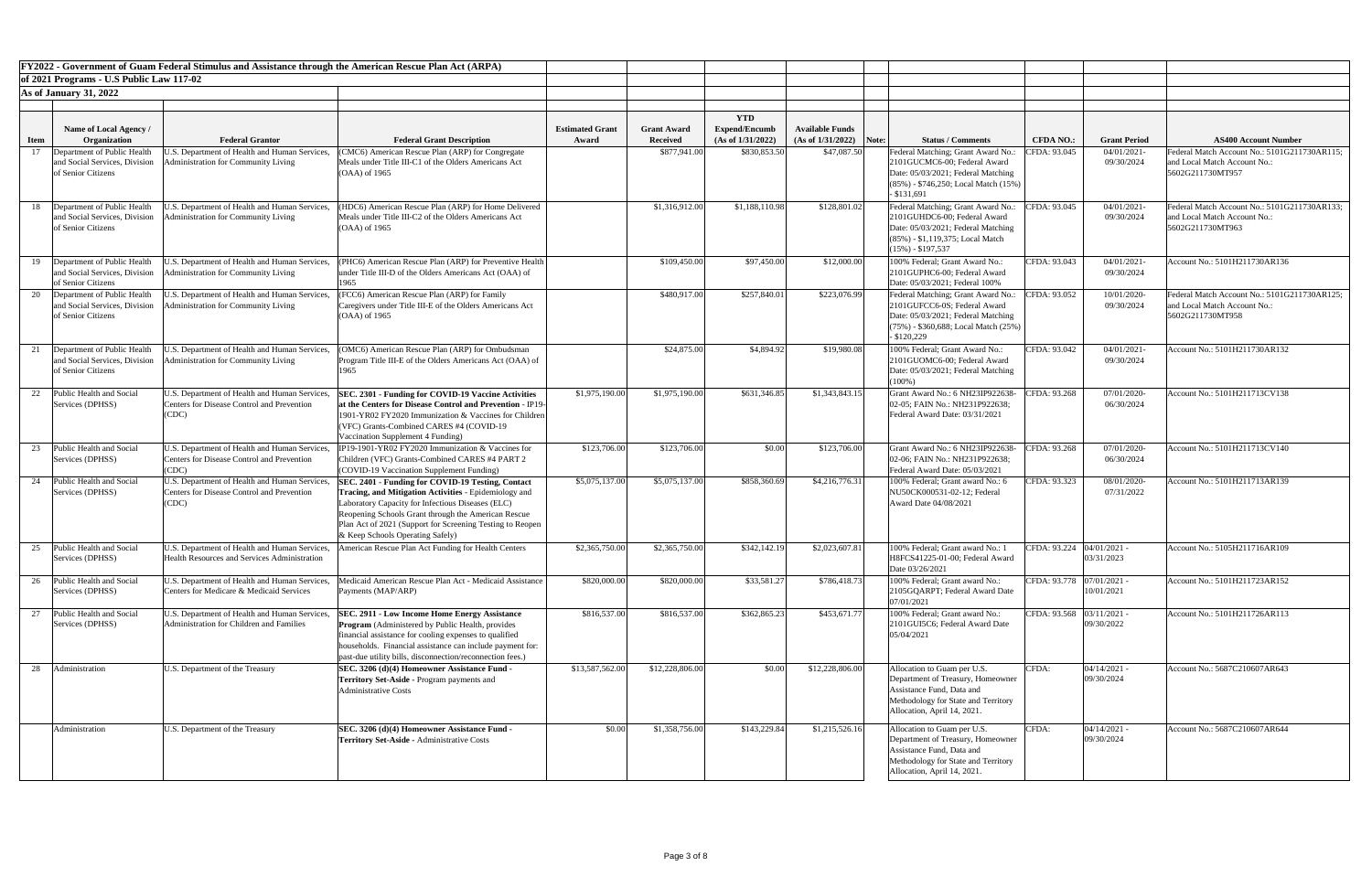|             |                                                                                       | FY2022 - Government of Guam Federal Stimulus and Assistance through the American Rescue Plan Act (ARPA)     |                                                                                                                                                                                                                                                                                                                         |                        |                    |                                    |                           |                                                                                                                                                                        |                           |                              |                                                                                                  |
|-------------|---------------------------------------------------------------------------------------|-------------------------------------------------------------------------------------------------------------|-------------------------------------------------------------------------------------------------------------------------------------------------------------------------------------------------------------------------------------------------------------------------------------------------------------------------|------------------------|--------------------|------------------------------------|---------------------------|------------------------------------------------------------------------------------------------------------------------------------------------------------------------|---------------------------|------------------------------|--------------------------------------------------------------------------------------------------|
|             | of 2021 Programs - U.S Public Law 117-02                                              |                                                                                                             |                                                                                                                                                                                                                                                                                                                         |                        |                    |                                    |                           |                                                                                                                                                                        |                           |                              |                                                                                                  |
|             | <b>As of January 31, 2022</b>                                                         |                                                                                                             |                                                                                                                                                                                                                                                                                                                         |                        |                    |                                    |                           |                                                                                                                                                                        |                           |                              |                                                                                                  |
|             |                                                                                       |                                                                                                             |                                                                                                                                                                                                                                                                                                                         |                        |                    |                                    |                           |                                                                                                                                                                        |                           |                              |                                                                                                  |
|             | Name of Local Agency /                                                                |                                                                                                             |                                                                                                                                                                                                                                                                                                                         | <b>Estimated Grant</b> | <b>Grant Award</b> | <b>YTD</b><br><b>Expend/Encumb</b> | <b>Available Funds</b>    |                                                                                                                                                                        |                           |                              |                                                                                                  |
| <b>Item</b> | Organization                                                                          | <b>Federal Grantor</b>                                                                                      | <b>Federal Grant Description</b>                                                                                                                                                                                                                                                                                        | Award                  | <b>Received</b>    | (As of 1/31/2022)                  | $(As of 1/31/2022)$ Note: | <b>Status / Comments</b>                                                                                                                                               | <b>CFDA NO.:</b>          | <b>Grant Period</b>          | <b>AS400 Account Number</b>                                                                      |
| 17          | Department of Public Health<br>and Social Services, Division<br>of Senior Citizens    | .S. Department of Health and Human Services<br>dministration for Community Living                           | (CMC6) American Rescue Plan (ARP) for Congregate<br>Meals under Title III-C1 of the Olders Americans Act<br>$(OAA)$ of 1965                                                                                                                                                                                             |                        | \$877,941.00       | \$830,853.50                       | \$47,087.50               | Federal Matching; Grant Award No.:<br>2101GUCMC6-00; Federal Award<br>Date: 05/03/2021; Federal Matching<br>$(85%)$ - \$746,250; Local Match (15%)<br>$-$ \$131,691    | CFDA: 93.045              | 04/01/2021<br>09/30/2024     | Federal Match Account No.: 5101G211730AR115;<br>and Local Match Account No.:<br>5602G211730MT957 |
|             | 18 Department of Public Health<br>and Social Services, Division<br>of Senior Citizens | U.S. Department of Health and Human Services,<br>dministration for Community Living                         | (HDC6) American Rescue Plan (ARP) for Home Delivered<br>Meals under Title III-C2 of the Olders Americans Act<br>$(OAA)$ of 1965                                                                                                                                                                                         |                        | \$1,316,912.00     | \$1,188,110.98                     | \$128,801.02              | Federal Matching; Grant Award No.:<br>2101GUHDC6-00; Federal Award<br>Date: 05/03/2021; Federal Matching<br>$(85\%)$ - \$1,119,375; Local Match<br>$(15\%) - $197,537$ | CFDA: 93.045              | 04/01/2021<br>09/30/2024     | Federal Match Account No.: 5101G211730AR133;<br>and Local Match Account No.:<br>5602G211730MT963 |
| 19          | Department of Public Health<br>and Social Services, Division<br>of Senior Citizens    | U.S. Department of Health and Human Services,<br>dministration for Community Living                         | (PHC6) American Rescue Plan (ARP) for Preventive Health<br>under Title III-D of the Olders Americans Act (OAA) of<br>1965                                                                                                                                                                                               |                        | \$109,450.00       | \$97,450.00                        | \$12,000.00               | 100% Federal; Grant Award No.:<br>2101GUPHC6-00; Federal Award<br>Date: 05/03/2021; Federal 100%                                                                       | CFDA: 93.043              | 04/01/2021<br>09/30/2024     | Account No.: 5101H211730AR136                                                                    |
|             | 20 Department of Public Health<br>and Social Services, Division<br>of Senior Citizens | U.S. Department of Health and Human Services,<br><b>Administration for Community Living</b>                 | (FCC6) American Rescue Plan (ARP) for Family<br>Caregivers under Title III-E of the Olders Americans Act<br>$(OAA)$ of 1965                                                                                                                                                                                             |                        | \$480,917.00       | \$257,840.01                       | \$223,076.99              | Federal Matching; Grant Award No.:<br>2101GUFCC6-0S; Federal Award<br>Date: 05/03/2021; Federal Matching<br>$(75%)$ - \$360,688; Local Match (25%)<br>$-$ \$120,229    | CFDA: 93.052              | 10/01/2020-<br>09/30/2024    | Federal Match Account No.: 5101G211730AR125;<br>and Local Match Account No.:<br>5602G211730MT958 |
|             | Department of Public Health<br>and Social Services, Division<br>of Senior Citizens    | U.S. Department of Health and Human Services,<br>Administration for Community Living                        | (OMC6) American Rescue Plan (ARP) for Ombudsman<br>Program Title III-E of the Olders Americans Act (OAA) of<br>1965                                                                                                                                                                                                     |                        | \$24,875.00        | \$4,894.92                         | \$19,980.08               | 100% Federal; Grant Award No.:<br>2101GUOMC6-00; Federal Award<br>Date: 05/03/2021; Federal Matching<br>$(100\%)$                                                      | CFDA: 93.042              | 04/01/2021-<br>09/30/2024    | Account No.: 5101H211730AR132                                                                    |
|             | Public Health and Social<br>Services (DPHSS)                                          | U.S. Department of Health and Human Services,<br>Centers for Disease Control and Prevention<br>(CDC)        | SEC. 2301 - Funding for COVID-19 Vaccine Activities<br>at the Centers for Disease Control and Prevention - IP19-<br>1901-YR02 FY2020 Immunization & Vaccines for Children<br>(VFC) Grants-Combined CARES #4 (COVID-19<br>Vaccination Supplement 4 Funding)                                                              | \$1,975,190.00         | \$1,975,190.00     | \$631,346.85                       | \$1,343,843.15            | Grant Award No.: 6 NH23IP922638-<br>02-05; FAIN No.: NH231P922638;<br>Federal Award Date: 03/31/2021                                                                   | CFDA: 93.268              | 07/01/2020-<br>06/30/2024    | Account No.: 5101H211713CV138                                                                    |
|             | Public Health and Social<br>Services (DPHSS)                                          | U.S. Department of Health and Human Services,<br>Centers for Disease Control and Prevention<br>(CDC)        | IP19-1901-YR02 FY2020 Immunization & Vaccines for<br>Children (VFC) Grants-Combined CARES #4 PART 2<br>(COVID-19 Vaccination Supplement Funding)                                                                                                                                                                        | \$123,706.00           | \$123,706.00       | \$0.00                             | \$123,706.00              | Grant Award No.: 6 NH23IP922638-<br>02-06; FAIN No.: NH231P922638;<br>Federal Award Date: 05/03/2021                                                                   | CFDA: 93.268              | 07/01/2020-<br>06/30/2024    | Account No.: 5101H211713CV140                                                                    |
| 24          | Public Health and Social<br>Services (DPHSS)                                          | U.S. Department of Health and Human Services,<br><b>Centers for Disease Control and Prevention</b><br>(CDC) | SEC. 2401 - Funding for COVID-19 Testing, Contact<br>Tracing, and Mitigation Activities - Epidemiology and<br>Laboratory Capacity for Infectious Diseases (ELC)<br>Reopening Schools Grant through the American Rescue<br>Plan Act of 2021 (Support for Screening Testing to Reopen<br>& Keep Schools Operating Safely) | \$5,075,137.00         | \$5,075,137.00     | \$858,360.69                       | \$4,216,776.31            | 100% Federal; Grant award No.: 6<br>NU50CK000531-02-12; Federal<br>Award Date 04/08/2021                                                                               | CFDA: 93.323              | 08/01/2020<br>07/31/2022     | Account No.: 5101H211713AR139                                                                    |
| 25          | Public Health and Social<br>Services (DPHSS)                                          | U.S. Department of Health and Human Services,<br><b>Health Resources and Services Administration</b>        | American Rescue Plan Act Funding for Health Centers                                                                                                                                                                                                                                                                     | \$2,365,750.00         | \$2,365,750.00     | \$342,142.19                       | \$2,023,607.81            | 100% Federal; Grant award No.: 1<br>H8FCS41225-01-00; Federal Award<br>Date 03/26/2021                                                                                 | CFDA: 93.224              | $04/01/2021$ -<br>03/31/2023 | Account No.: 5105H211716AR109                                                                    |
|             | 26 Public Health and Social<br>Services (DPHSS)                                       | U.S. Department of Health and Human Services,<br>Centers for Medicare & Medicaid Services                   | Medicaid American Rescue Plan Act - Medicaid Assistance<br>Payments (MAP/ARP)                                                                                                                                                                                                                                           | \$820,000.00           | \$820,000.00       | \$33,581.27                        | \$786,418.73              | 100% Federal; Grant award No.:<br>2105GQARPT; Federal Award Date<br>07/01/2021                                                                                         | CFDA: 93.778 07/01/2021 - | 10/01/2021                   | Account No.: 5101H211723AR152                                                                    |
|             | Public Health and Social<br>Services (DPHSS)                                          | U.S. Department of Health and Human Services,<br>Administration for Children and Families                   | <b>SEC. 2911 - Low Income Home Energy Assistance</b><br><b>Program</b> (Administered by Public Health, provides<br>financial assistance for cooling expenses to qualified<br>households. Financial assistance can include payment for:<br>past-due utility bills, disconnection/reconnection fees.)                     | \$816,537.00           | \$816,537.00       | \$362,865.23                       | \$453,671.77              | 100% Federal; Grant award No.:<br>2101GUI5C6; Federal Award Date<br>05/04/2021                                                                                         | CFDA: 93.568              | $03/11/2021$ -<br>09/30/2022 | Account No.: 5101H211726AR113                                                                    |
| 28          | Administration                                                                        | U.S. Department of the Treasury                                                                             | SEC. 3206 (d)(4) Homeowner Assistance Fund -<br><b>Territory Set-Aside - Program payments and</b><br><b>Administrative Costs</b>                                                                                                                                                                                        | \$13,587,562.00        | \$12,228,806.00    | \$0.00                             | \$12,228,806.00           | Allocation to Guam per U.S.<br>Department of Treasury, Homeowner<br>Assistance Fund, Data and<br>Methodology for State and Territory<br>Allocation, April 14, 2021.    | CFDA:                     | $04/14/2021$ -<br>09/30/2024 | Account No.: 5687C210607AR643                                                                    |
|             | Administration                                                                        | U.S. Department of the Treasury                                                                             | SEC. 3206 (d)(4) Homeowner Assistance Fund -<br>Territory Set-Aside - Administrative Costs                                                                                                                                                                                                                              | \$0.00                 | \$1,358,756.00     | \$143,229.84                       | \$1,215,526.16            | Allocation to Guam per U.S.<br>Department of Treasury, Homeowner<br>Assistance Fund, Data and<br>Methodology for State and Territory<br>Allocation, April 14, 2021.    | CFDA:                     | $04/14/2021 -$<br>09/30/2024 | Account No.: 5687C210607AR644                                                                    |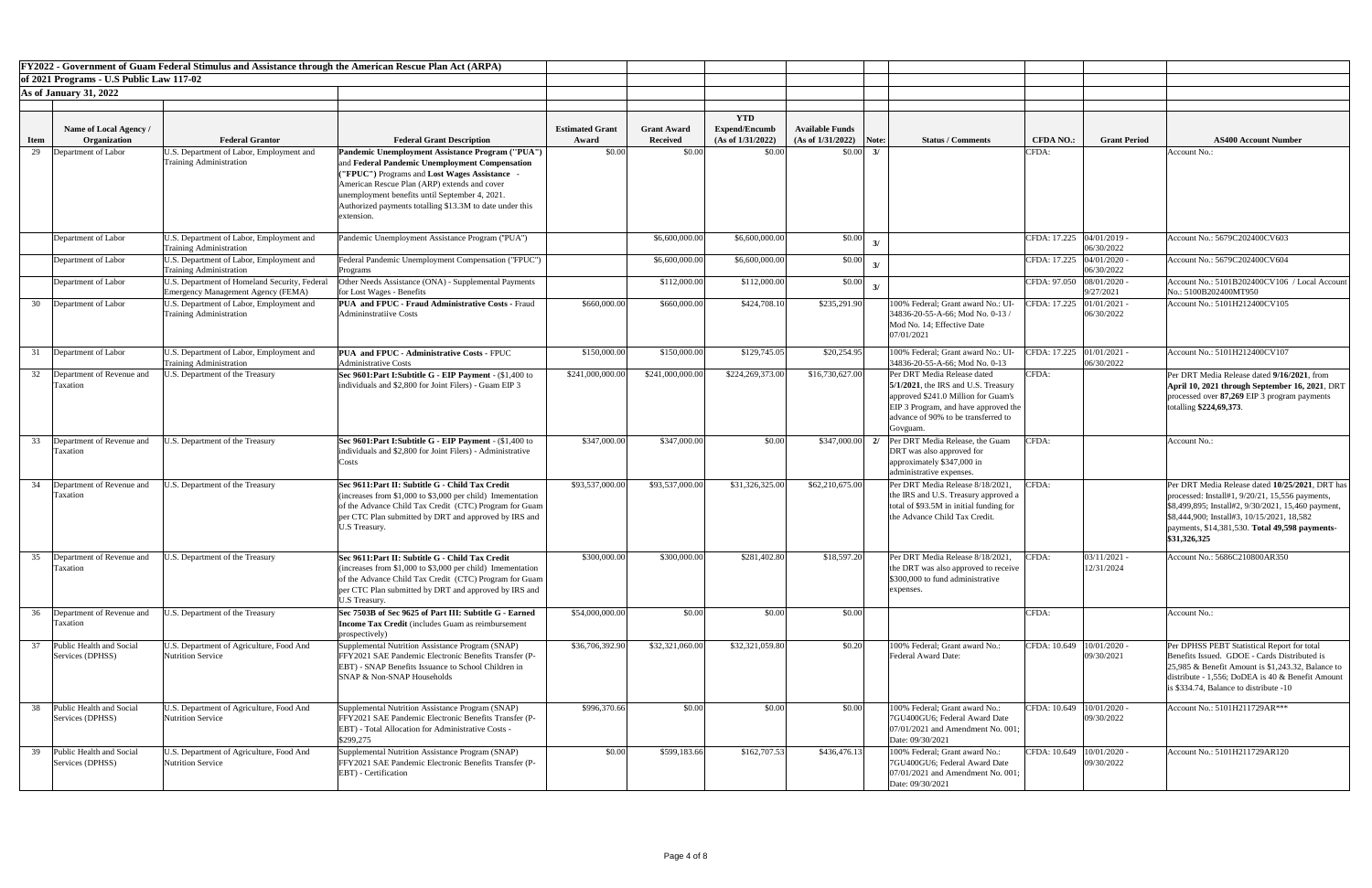|             |                                                 |                                                                                            | FY2022 - Government of Guam Federal Stimulus and Assistance through the American Rescue Plan Act (ARPA)                                                                                                                                                                    |                        |                    |                      |                           |                                                                                                                                                                                                        |                             |                                         |                                                                                                                                                                                                                                                                              |
|-------------|-------------------------------------------------|--------------------------------------------------------------------------------------------|----------------------------------------------------------------------------------------------------------------------------------------------------------------------------------------------------------------------------------------------------------------------------|------------------------|--------------------|----------------------|---------------------------|--------------------------------------------------------------------------------------------------------------------------------------------------------------------------------------------------------|-----------------------------|-----------------------------------------|------------------------------------------------------------------------------------------------------------------------------------------------------------------------------------------------------------------------------------------------------------------------------|
|             | of 2021 Programs - U.S Public Law 117-02        |                                                                                            |                                                                                                                                                                                                                                                                            |                        |                    |                      |                           |                                                                                                                                                                                                        |                             |                                         |                                                                                                                                                                                                                                                                              |
|             |                                                 |                                                                                            |                                                                                                                                                                                                                                                                            |                        |                    |                      |                           |                                                                                                                                                                                                        |                             |                                         |                                                                                                                                                                                                                                                                              |
|             | <b>As of January 31, 2022</b>                   |                                                                                            |                                                                                                                                                                                                                                                                            |                        |                    |                      |                           |                                                                                                                                                                                                        |                             |                                         |                                                                                                                                                                                                                                                                              |
|             |                                                 |                                                                                            |                                                                                                                                                                                                                                                                            |                        |                    | <b>YTD</b>           |                           |                                                                                                                                                                                                        |                             |                                         |                                                                                                                                                                                                                                                                              |
|             | Name of Local Agency /                          |                                                                                            |                                                                                                                                                                                                                                                                            | <b>Estimated Grant</b> | <b>Grant Award</b> | <b>Expend/Encumb</b> | <b>Available Funds</b>    |                                                                                                                                                                                                        |                             |                                         |                                                                                                                                                                                                                                                                              |
| <b>Item</b> | Organization                                    | <b>Federal Grantor</b>                                                                     | <b>Federal Grant Description</b>                                                                                                                                                                                                                                           | Award                  | <b>Received</b>    | (As of 1/31/2022)    | $(As of 1/31/2022)$ Note: | <b>Status / Comments</b>                                                                                                                                                                               | <b>CFDA NO.:</b>            | <b>Grant Period</b>                     | <b>AS400 Account Number</b>                                                                                                                                                                                                                                                  |
| 29          | Department of Labor                             | J.S. Department of Labor, Employment and                                                   | Pandemic Unemployment Assistance Program ("PUA")                                                                                                                                                                                                                           | \$0.00                 | \$0.00             | \$0.00               | $$0.00\,$ 3/              |                                                                                                                                                                                                        | CFDA:                       |                                         | Account No.:                                                                                                                                                                                                                                                                 |
|             |                                                 | <b>Training Administration</b>                                                             | and Federal Pandemic Unemployment Compensation<br>"FPUC") Programs and Lost Wages Assistance -<br>American Rescue Plan (ARP) extends and cover<br>unemployment benefits until September 4, 2021.<br>Authorized payments totalling \$13.3M to date under this<br>extension. |                        |                    |                      |                           |                                                                                                                                                                                                        |                             |                                         |                                                                                                                                                                                                                                                                              |
|             | Department of Labor                             | J.S. Department of Labor, Employment and<br><b>Training Administration</b>                 | Pandemic Unemployment Assistance Program ("PUA")                                                                                                                                                                                                                           |                        | \$6,600,000.00     | \$6,600,000.00       | \$0.00                    |                                                                                                                                                                                                        | CFDA: 17.225 04/01/2019 -   | 06/30/2022                              | Account No.: 5679C202400CV603                                                                                                                                                                                                                                                |
|             | Department of Labor                             | J.S. Department of Labor, Employment and<br><b>Training Administration</b>                 | Federal Pandemic Unemployment Compensation ("FPUC")<br>Programs                                                                                                                                                                                                            |                        | \$6,600,000.00     | \$6,600,000.00       | \$0.00                    |                                                                                                                                                                                                        | CFDA: 17.225 04/01/2020 -   | 06/30/2022                              | Account No.: 5679C202400CV604                                                                                                                                                                                                                                                |
|             | Department of Labor                             | J.S. Department of Homeland Security, Federal<br><b>Emergency Management Agency (FEMA)</b> | Other Needs Assistance (ONA) - Supplemental Payments<br>for Lost Wages - Benefits                                                                                                                                                                                          |                        | \$112,000.00       | \$112,000.00         | \$0.00                    |                                                                                                                                                                                                        | CFDA: 97.050 08/01/2020 -   | 9/27/2021                               | Account No.: 5101B202400CV106 / Local Accoun<br>No.: 5100B202400MT950                                                                                                                                                                                                        |
| 30          | Department of Labor                             | J.S. Department of Labor, Employment and<br><b>Training Administration</b>                 | <b>PUA and FPUC - Fraud Administrative Costs - Fraud</b><br><b>Admininstratiive Costs</b>                                                                                                                                                                                  | \$660,000.00           | \$660,000.00       | \$424,708.10         | \$235,291.90              | 100% Federal; Grant award No.: U<br>34836-20-55-A-66; Mod No. 0-13<br>Mod No. 14; Effective Date<br>07/01/2021                                                                                         | CFDA: 17.225                | 01/01/2021<br>06/30/2022                | Account No.: 5101H212400CV105                                                                                                                                                                                                                                                |
|             | Department of Labor                             | U.S. Department of Labor, Employment and<br><b>Training Administration</b>                 | PUA and FPUC - Administrative Costs - FPUC<br><b>Administrative Costs</b>                                                                                                                                                                                                  | \$150,000.00           | \$150,000.00       | \$129,745.05         | \$20,254.95               | 100% Federal; Grant award No.: UI<br>34836-20-55-A-66; Mod No. 0-13                                                                                                                                    |                             | EFDA: 17.225 01/01/2021 -<br>06/30/2022 | Account No.: 5101H212400CV107                                                                                                                                                                                                                                                |
|             | Taxation                                        | 32 Department of Revenue and U.S. Department of the Treasury                               | Sec 9601: Part I: Subtitle G - EIP Payment - (\$1,400 to<br>individuals and \$2,800 for Joint Filers) - Guam EIP 3                                                                                                                                                         | \$241,000,000.00       | \$241,000,000.00   | \$224,269,373.00     | \$16,730,627.00           | Per DRT Media Release dated<br>$5/1/2021$ , the IRS and U.S. Treasury<br>approved \$241.0 Million for Guam's<br>EIP 3 Program, and have approved the<br>advance of 90% to be transferred to<br>Govguam | CFDA:                       |                                         | Per DRT Media Release dated 9/16/2021, from<br>April 10, 2021 through September 16, 2021, DRT<br>processed over 87,269 EIP 3 program payments<br>totalling \$224,69,373.                                                                                                     |
|             | 33 Department of Revenue and<br>Taxation        | J.S. Department of the Treasury                                                            | Sec 9601: Part I: Subtitle G - EIP Payment - (\$1,400 to<br>individuals and \$2,800 for Joint Filers) - Administrative<br>Costs                                                                                                                                            | \$347,000.00           | \$347,000.00       | \$0.00               | \$347,000.00              | Per DRT Media Release, the Guam<br>2/<br>DRT was also approved for<br>approximately \$347,000 in<br>administrative expenses.                                                                           | CFDA:                       |                                         | Account No.:                                                                                                                                                                                                                                                                 |
|             | 34 Department of Revenue and<br>Taxation        | J.S. Department of the Treasury                                                            | Sec 9611: Part II: Subtitle G - Child Tax Credit<br>(increases from \$1,000 to \$3,000 per child) Imementation<br>of the Advance Child Tax Credit (CTC) Program for Guam<br>per CTC Plan submitted by DRT and approved by IRS and<br>U.S Treasury.                         | \$93,537,000.00        | \$93,537,000.00    | \$31,326,325.00      | \$62,210,675.00           | Per DRT Media Release 8/18/2021<br>the IRS and U.S. Treasury approved a<br>total of \$93.5M in initial funding for<br>the Advance Child Tax Credit.                                                    | CFDA:                       |                                         | Per DRT Media Release dated 10/25/2021, DRT ha<br>processed: Install#1, $9/20/21$ , 15,556 payments,<br>[\$8,499,895; Install#2, 9/30/2021, 15,460 payment,<br>\\$8,444,900; Install#3, 10/15/2021, 18,582<br>payments, \$14,381,530. Total 49,598 payments-<br>\$31,326,325 |
|             | Department of Revenue and<br>Taxation           | I.S. Department of the Treasury                                                            | Sec 9611: Part II: Subtitle G - Child Tax Credit<br>(increases from \$1,000 to \$3,000 per child) Imementation<br>of the Advance Child Tax Credit (CTC) Program for Guam<br>per CTC Plan submitted by DRT and approved by IRS and<br><b>U.S Treasury.</b>                  | \$300,000.00           | \$300,000.00       | \$281,402.80         | \$18,597.20               | Per DRT Media Release 8/18/2021.<br>the DRT was also approved to receive<br>\$300,000 to fund administrative<br>expenses.                                                                              | CFDA:                       | 03/11/2021 -<br>12/31/2024              | Account No.: 5686C210800AR350                                                                                                                                                                                                                                                |
|             | 36 Department of Revenue and<br>Taxation        | J.S. Department of the Treasury                                                            | Sec 7503B of Sec 9625 of Part III: Subtitle G - Earned<br><b>Income Tax Credit</b> (includes Guam as reimbursement<br>prospectively)                                                                                                                                       | \$54,000,000.00        | \$0.00             | \$0.00               | \$0.00                    |                                                                                                                                                                                                        | CFDA:                       |                                         | Account No.:                                                                                                                                                                                                                                                                 |
|             | 37 Public Health and Social<br>Services (DPHSS) | U.S. Department of Agriculture, Food And<br>Nutrition Service                              | Supplemental Nutrition Assistance Program (SNAP)<br>FFY2021 SAE Pandemic Electronic Benefits Transfer (P-<br>EBT) - SNAP Benefits Issuance to School Children in<br>SNAP & Non-SNAP Households                                                                             | \$36,706,392.90        | \$32,321,060.00    | \$32,321,059.80      | \$0.20                    | 100% Federal; Grant award No.:<br><b>Federal Award Date:</b>                                                                                                                                           | CFDA: 10.649   10/01/2020 - | 09/30/2021                              | Per DPHSS PEBT Statistical Report for total<br>Benefits Issued. GDOE - Cards Distributed is<br>$25,985$ & Benefit Amount is \$1,243.32, Balance to<br>distribute - 1,556; DoDEA is 40 & Benefit Amount<br>is \$334.74, Balance to distribute -10                             |
| 38          | Public Health and Social<br>Services (DPHSS)    | U.S. Department of Agriculture, Food And<br><b>Nutrition Service</b>                       | Supplemental Nutrition Assistance Program (SNAP)<br>FFY2021 SAE Pandemic Electronic Benefits Transfer (P-<br>EBT) - Total Allocation for Administrative Costs -<br>\$299,275                                                                                               | \$996,370.66           | \$0.00             | \$0.00               | \$0.00                    | 100% Federal; Grant award No.:<br>7GU400GU6; Federal Award Date<br>[07/01/2021 and Amendment No. 001;<br>Date: 09/30/2021                                                                              | CFDA: 10.649 10/01/2020 -   | 09/30/2022                              | Account No.: 5101H211729AR***                                                                                                                                                                                                                                                |
| 39          | Public Health and Social<br>Services (DPHSS)    | U.S. Department of Agriculture, Food And<br>Nutrition Service                              | Supplemental Nutrition Assistance Program (SNAP)<br>FFY2021 SAE Pandemic Electronic Benefits Transfer (P-<br><b>EBT</b> ) - Certification                                                                                                                                  | \$0.00                 | \$599,183.66       | \$162,707.53         | \$436,476.13              | 100% Federal; Grant award No.:<br>7GU400GU6; Federal Award Date<br>$[07/01/2021$ and Amendment No. 001;<br>Date: 09/30/2021                                                                            | CFDA: 10.649   10/01/2020 - | 09/30/2022                              | Account No.: 5101H211729AR120                                                                                                                                                                                                                                                |

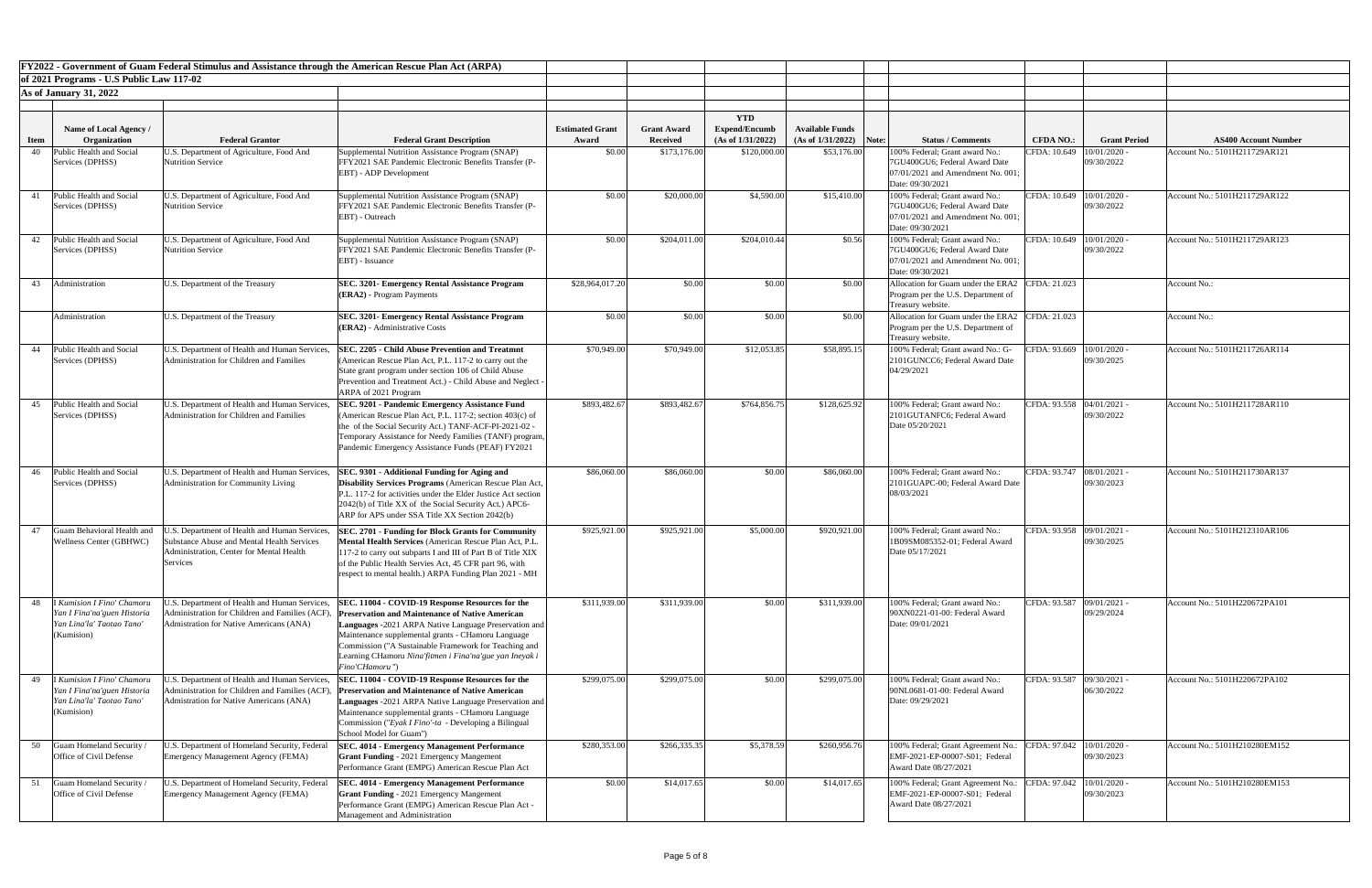|             |                                                                                                      | FY2022 - Government of Guam Federal Stimulus and Assistance through the American Rescue Plan Act (ARPA)                                             |                                                                                                                                                                                                                                                                                                                                                                 |                                 |                                       |                                                         |                                                     |                                                                                                                             |                             |                     |                               |
|-------------|------------------------------------------------------------------------------------------------------|-----------------------------------------------------------------------------------------------------------------------------------------------------|-----------------------------------------------------------------------------------------------------------------------------------------------------------------------------------------------------------------------------------------------------------------------------------------------------------------------------------------------------------------|---------------------------------|---------------------------------------|---------------------------------------------------------|-----------------------------------------------------|-----------------------------------------------------------------------------------------------------------------------------|-----------------------------|---------------------|-------------------------------|
|             | of 2021 Programs - U.S Public Law 117-02                                                             |                                                                                                                                                     |                                                                                                                                                                                                                                                                                                                                                                 |                                 |                                       |                                                         |                                                     |                                                                                                                             |                             |                     |                               |
|             | <b>As of January 31, 2022</b>                                                                        |                                                                                                                                                     |                                                                                                                                                                                                                                                                                                                                                                 |                                 |                                       |                                                         |                                                     |                                                                                                                             |                             |                     |                               |
|             |                                                                                                      |                                                                                                                                                     |                                                                                                                                                                                                                                                                                                                                                                 |                                 |                                       |                                                         |                                                     |                                                                                                                             |                             |                     |                               |
| <b>Item</b> | Name of Local Agency /<br>Organization                                                               | <b>Federal Grantor</b>                                                                                                                              | <b>Federal Grant Description</b>                                                                                                                                                                                                                                                                                                                                | <b>Estimated Grant</b><br>Award | <b>Grant Award</b><br><b>Received</b> | <b>YTD</b><br><b>Expend/Encumb</b><br>(As of 1/31/2022) | <b>Available Funds</b><br>$(As of 1/31/2022)$ Note: | <b>Status / Comments</b>                                                                                                    | <b>CFDA NO.:</b>            | <b>Grant Period</b> | <b>AS400 Account Number</b>   |
| 40          | Public Health and Social                                                                             | U.S. Department of Agriculture, Food And                                                                                                            | Supplemental Nutrition Assistance Program (SNAP)                                                                                                                                                                                                                                                                                                                | \$0.00                          | \$173,176.00                          | \$120,000.00                                            | \$53,176.00                                         | 100% Federal; Grant award No.:                                                                                              | CFDA: 10.649                | 10/01/2020          | Account No.: 5101H211729AR121 |
|             | Services (DPHSS)                                                                                     | Nutrition Service                                                                                                                                   | FFY2021 SAE Pandemic Electronic Benefits Transfer (P-<br>EBT) - ADP Development                                                                                                                                                                                                                                                                                 |                                 |                                       |                                                         |                                                     | 7GU400GU6; Federal Award Date<br>$[07/01/2021$ and Amendment No. 001;<br>Date: 09/30/2021                                   |                             | 09/30/2022          |                               |
|             | Public Health and Social<br>Services (DPHSS)                                                         | U.S. Department of Agriculture, Food And<br>Nutrition Service                                                                                       | Supplemental Nutrition Assistance Program (SNAP)<br>FFY2021 SAE Pandemic Electronic Benefits Transfer (P-<br>EBT) - Outreach                                                                                                                                                                                                                                    | \$0.00                          | \$20,000.00                           | \$4,590.00                                              | \$15,410.00                                         | 100% Federal; Grant award No.:<br>7GU400GU6; Federal Award Date<br>$[07/01/2021$ and Amendment No. 001;<br>Date: 09/30/2021 | CFDA: 10.649 10/01/2020     | 09/30/2022          | Account No.: 5101H211729AR122 |
| 42          | Public Health and Social<br>Services (DPHSS)                                                         | U.S. Department of Agriculture, Food And<br><b>Nutrition Service</b>                                                                                | Supplemental Nutrition Assistance Program (SNAP)<br>FFY2021 SAE Pandemic Electronic Benefits Transfer (P-<br>EBT) - Issuance                                                                                                                                                                                                                                    | \$0.00                          | \$204,011.00                          | \$204,010.44                                            | \$0.56                                              | 100% Federal; Grant award No.:<br>7GU400GU6; Federal Award Date<br>07/01/2021 and Amendment No. 001;<br>Date: 09/30/2021    | CFDA: 10.649 10/01/2020     | 09/30/2022          | Account No.: 5101H211729AR123 |
| 43          | Administration                                                                                       | U.S. Department of the Treasury                                                                                                                     | <b>SEC. 3201- Emergency Rental Assistance Program</b><br>$ $ (ERA2) - Program Payments                                                                                                                                                                                                                                                                          | \$28,964,017.20                 | \$0.00                                | \$0.00                                                  | \$0.00                                              | Allocation for Guam under the ERA2 CFDA: 21.023<br>Program per the U.S. Department of<br>Treasury website.                  |                             |                     | Account No.:                  |
|             | Administration                                                                                       | U.S. Department of the Treasury                                                                                                                     | <b>SEC. 3201- Emergency Rental Assistance Program</b><br>$ (\text{ERA2})$ - Administrative Costs                                                                                                                                                                                                                                                                | \$0.00                          | \$0.00                                | \$0.00                                                  | \$0.00                                              | Allocation for Guam under the ERA2 CFDA: 21.023<br>Program per the U.S. Department of<br>Treasury website.                  |                             |                     | Account No.:                  |
| 44          | Public Health and Social<br>Services (DPHSS)                                                         | U.S. Department of Health and Human Services,<br>Administration for Children and Families                                                           | <b>SEC. 2205 - Child Abuse Prevention and Treatmnt</b><br>(American Rescue Plan Act, P.L. 117-2 to carry out the<br>State grant program under section 106 of Child Abuse<br>Prevention and Treatment Act.) - Child Abuse and Neglect -<br>ARPA of 2021 Program                                                                                                  | \$70,949.00                     | \$70,949.00                           | \$12,053.85                                             | \$58,895.15                                         | 100% Federal; Grant award No.: G-<br>2101GUNCC6; Federal Award Date<br>04/29/2021                                           | CFDA: 93.669   10/01/2020 - | 09/30/2025          | Account No.: 5101H211726AR114 |
| 45          | Public Health and Social<br>Services (DPHSS)                                                         | U.S. Department of Health and Human Services,<br>Administration for Children and Families                                                           | <b>SEC. 9201 - Pandemic Emergency Assistance Fund</b><br>(American Rescue Plan Act, P.L. 117-2; section 403(c) of<br>the of the Social Security Act.) TANF-ACF-PI-2021-02 -<br>Temporary Assistance for Needy Families (TANF) program,<br>Pandemic Emergency Assistance Funds (PEAF) FY2021                                                                     | \$893,482.67                    | \$893,482.67                          | \$764,856.75                                            | \$128,625.92                                        | 100% Federal; Grant award No.:<br>2101GUTANFC6; Federal Award<br>Date 05/20/2021                                            | CFDA: 93.558 04/01/2021 -   | 09/30/2022          | Account No.: 5101H211728AR110 |
| 46          | Public Health and Social<br>Services (DPHSS)                                                         | U.S. Department of Health and Human Services,<br>Administration for Community Living                                                                | SEC. 9301 - Additional Funding for Aging and<br>Disability Services Programs (American Rescue Plan Act,<br>P.L. 117-2 for activities under the Elder Justice Act section<br>2042(b) of Title XX of the Social Security Act.) APC6-<br>ARP for APS under SSA Title XX Section 2042(b)                                                                            | \$86,060.00                     | \$86,060.00                           | \$0.00                                                  | \$86,060.00                                         | 100% Federal; Grant award No.:<br>2101GUAPC-00; Federal Award Date<br>08/03/2021                                            | CFDA: 93.747   08/01/2021 - | 09/30/2023          | Account No.: 5101H211730AR137 |
| 47          | Guam Behavioral Health and<br><b>Wellness Center (GBHWC)</b>                                         | J.S. Department of Health and Human Services,<br>Substance Abuse and Mental Health Services<br>Administration, Center for Mental Health<br>Services | <b>SEC. 2701 - Funding for Block Grants for Community</b><br>Mental Health Services (American Rescue Plan Act, P.L.<br>117-2 to carry out subparts I and III of Part B of Title XIX<br>of the Public Health Servies Act, 45 CFR part 96, with<br>respect to mental health.) ARPA Funding Plan 2021 - MH                                                         | \$925,921.00                    | \$925,921.00                          | \$5,000.00                                              | \$920,921.00                                        | 100% Federal; Grant award No.:<br>1B09SM085352-01; Federal Award<br>Date 05/17/2021                                         | CFDA: 93.958 09/01/2021 -   | 09/30/2025          | Account No.: 5101H212310AR106 |
| 48          | I Kumision I Fino' Chamoru<br>Yan I Fina'na'guen Historia<br>Yan Lina'la' Taotao Tano<br>(Kumision)  | J.S. Department of Health and Human Services,<br>dministration for Children and Families (ACF<br>Admistration for Native Americans (ANA)            | SEC. 11004 - COVID-19 Response Resources for the<br><b>Preservation and Maintenance of Native American</b><br>Languages -2021 ARPA Native Language Preservation and<br>Maintenance supplemental grants - CHamoru Language<br>Commission ("A Sustainable Framework for Teaching and<br>Learning CHamoru Nina'fitmen i Fina'na'gue yan Ineyak i<br>Fino'CHamoru") | \$311,939.00                    | \$311,939.00                          | \$0.00                                                  | \$311,939.00                                        | 100% Federal; Grant award No.:<br>90XN0221-01-00: Federal Award<br>Date: 09/01/2021                                         | CFDA: 93.587 09/01/2021 -   | 09/29/2024          | Account No.: 5101H220672PA101 |
| 49          | I Kumision I Fino' Chamoru<br>Yan I Fina'na'guen Historia<br>Yan Lina'la' Taotao Tano'<br>(Kumision) | U.S. Department of Health and Human Services,<br>Admistration for Native Americans (ANA)                                                            | SEC. 11004 - COVID-19 Response Resources for the<br>Administration for Children and Families (ACF), Preservation and Maintenance of Native American<br>Languages -2021 ARPA Native Language Preservation and<br>Maintenance supplemental grants - CHamoru Language<br>Commission ("Eyak I Fino'-ta - Developing a Bilingual<br>School Model for Guam")          | \$299,075.00                    | \$299,075.00                          | \$0.00                                                  | \$299,075.00                                        | 100% Federal; Grant award No.:<br>90NL0681-01-00: Federal Award<br>Date: 09/29/2021                                         | CFDA: 93.587 09/30/2021 -   | 06/30/2022          | Account No.: 5101H220672PA102 |
| 50          | Guam Homeland Security /<br>Office of Civil Defense                                                  | U.S. Department of Homeland Security, Federa<br>Emergency Management Agency (FEMA)                                                                  | <b>SEC. 4014 - Emergency Management Performance</b><br><b>Grant Funding - 2021 Emergency Mangement</b><br>Performance Grant (EMPG) American Rescue Plan Act                                                                                                                                                                                                     | \$280,353.00                    | \$266,335.35                          | \$5,378.59                                              | \$260,956.76                                        | 100% Federal; Grant Agreement No.:<br>EMF-2021-EP-00007-S01; Federal<br><b>Award Date 08/27/2021</b>                        | CFDA: 97.042   10/01/2020 - | 09/30/2023          | Account No.: 5101H210280EM152 |
|             | Guam Homeland Security<br>Office of Civil Defense                                                    | J.S. Department of Homeland Security, Federal<br>Emergency Management Agency (FEMA)                                                                 | <b>SEC. 4014 - Emergency Management Performance</b><br><b>Grant Funding - 2021 Emergency Mangement</b><br>Performance Grant (EMPG) American Rescue Plan Act -<br>Management and Administration                                                                                                                                                                  | \$0.00                          | \$14,017.65                           | \$0.00                                                  | \$14,017.65                                         | 100% Federal; Grant Agreement No.:<br>EMF-2021-EP-00007-S01; Federal<br>Award Date 08/27/2021                               | CFDA: 97.042   10/01/2020 - | 09/30/2023          | Account No.: 5101H210280EM153 |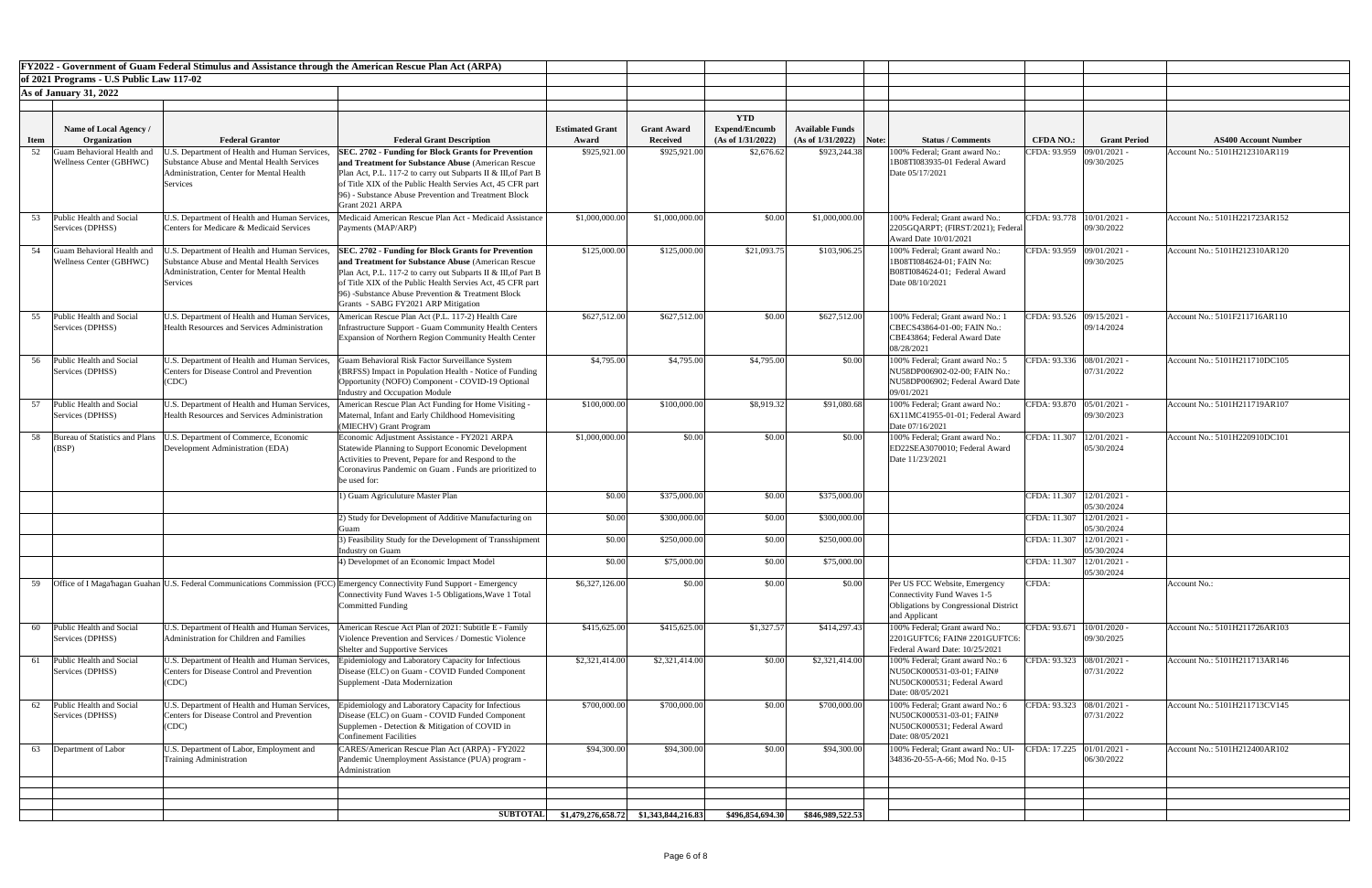| FY2022 - Government of Guam Federal Stimulus and Assistance through the American Rescue Plan Act (ARPA) |                                              |                                                                                                    |                                                                                                                            |                        |                    |                                    |                           |                                                                   |                             |                     |                               |
|---------------------------------------------------------------------------------------------------------|----------------------------------------------|----------------------------------------------------------------------------------------------------|----------------------------------------------------------------------------------------------------------------------------|------------------------|--------------------|------------------------------------|---------------------------|-------------------------------------------------------------------|-----------------------------|---------------------|-------------------------------|
| of 2021 Programs - U.S Public Law 117-02                                                                |                                              |                                                                                                    |                                                                                                                            |                        |                    |                                    |                           |                                                                   |                             |                     |                               |
|                                                                                                         | <b>As of January 31, 2022</b>                |                                                                                                    |                                                                                                                            |                        |                    |                                    |                           |                                                                   |                             |                     |                               |
|                                                                                                         |                                              |                                                                                                    |                                                                                                                            |                        |                    |                                    |                           |                                                                   |                             |                     |                               |
|                                                                                                         | <b>Name of Local Agency</b> /                |                                                                                                    |                                                                                                                            | <b>Estimated Grant</b> | <b>Grant Award</b> | <b>YTD</b><br><b>Expend/Encumb</b> | <b>Available Funds</b>    |                                                                   |                             |                     |                               |
| <b>Item</b>                                                                                             | Organization                                 | <b>Federal Grantor</b>                                                                             | <b>Federal Grant Description</b>                                                                                           | Award                  | <b>Received</b>    | (As of 1/31/2022)                  | $(As of 1/31/2022)$ Note: | <b>Status / Comments</b>                                          | <b>CFDA NO.:</b>            | <b>Grant Period</b> | <b>AS400 Account Number</b>   |
| 52                                                                                                      | Guam Behavioral Health and                   | .S. Department of Health and Human Services                                                        | <b>SEC. 2702 - Funding for Block Grants for Prevention</b>                                                                 | \$925,921.00           | \$925,921.00       | \$2,676.62                         | \$923,244.38              | 100% Federal; Grant award No.:                                    | CFDA: 93.959                | 09/01/2021          | Account No.: 5101H212310AR119 |
|                                                                                                         | <b>Wellness Center (GBHWC)</b>               | Substance Abuse and Mental Health Services<br>Administration, Center for Mental Health             | and Treatment for Substance Abuse (American Rescue<br>Plan Act, P.L. 117-2 to carry out Subparts II & III, of Part B       |                        |                    |                                    |                           | 1B08TI083935-01 Federal Award<br>Date 05/17/2021                  |                             | 09/30/2025          |                               |
|                                                                                                         |                                              | Services                                                                                           | of Title XIX of the Public Health Servies Act, 45 CFR part                                                                 |                        |                    |                                    |                           |                                                                   |                             |                     |                               |
|                                                                                                         |                                              |                                                                                                    | 96) - Substance Abuse Prevention and Treatment Block<br>Grant 2021 ARPA                                                    |                        |                    |                                    |                           |                                                                   |                             |                     |                               |
|                                                                                                         | Public Health and Social                     | U.S. Department of Health and Human Services,                                                      | Medicaid American Rescue Plan Act - Medicaid Assistance                                                                    | \$1,000,000.00         | \$1,000,000.00     | \$0.00                             | \$1,000,000.00            | 100% Federal; Grant award No.:                                    | CFDA: 93.778   10/01/2021 - |                     | Account No.: 5101H221723AR152 |
|                                                                                                         | Services (DPHSS)                             | Centers for Medicare & Medicaid Services                                                           | Payments (MAP/ARP)                                                                                                         |                        |                    |                                    |                           | 2205GQARPT; (FIRST/2021); Federal                                 |                             | 09/30/2022          |                               |
|                                                                                                         | Guam Behavioral Health and                   |                                                                                                    |                                                                                                                            | \$125,000.00           | \$125,000.00       |                                    |                           | Award Date 10/01/2021<br>100% Federal; Grant award No.:           |                             |                     | Account No.: 5101H212310AR120 |
| 54                                                                                                      | <b>Wellness Center (GBHWC)</b>               | U.S. Department of Health and Human Services,<br><b>Substance Abuse and Mental Health Services</b> | <b>SEC. 2702 - Funding for Block Grants for Prevention</b><br>and Treatment for Substance Abuse (American Rescue)          |                        |                    | \$21,093.75                        | \$103,906.25              | 1B08TI084624-01; FAIN No:                                         | CFDA: 93.959 09/01/2021 -   | 09/30/2025          |                               |
|                                                                                                         |                                              | Administration, Center for Mental Health                                                           | Plan Act, P.L. 117-2 to carry out Subparts II & III, of Part B                                                             |                        |                    |                                    |                           | B08TI084624-01; Federal Award                                     |                             |                     |                               |
|                                                                                                         |                                              | <b>Services</b>                                                                                    | of Title XIX of the Public Health Servies Act, 45 CFR part<br>96) -Substance Abuse Prevention & Treatment Block            |                        |                    |                                    |                           | Date 08/10/2021                                                   |                             |                     |                               |
|                                                                                                         |                                              |                                                                                                    | Grants - SABG FY2021 ARP Mitigation                                                                                        |                        |                    |                                    |                           |                                                                   |                             |                     |                               |
| 55                                                                                                      | Public Health and Social                     | U.S. Department of Health and Human Services,                                                      | American Rescue Plan Act (P.L. 117-2) Health Care                                                                          | \$627,512.00           | \$627,512.00       | \$0.00                             | \$627,512.00              | 100% Federal; Grant award No.: 1                                  | CFDA: 93.526 09/15/2021 -   |                     | Account No.: 5101F211716AR110 |
|                                                                                                         | Services (DPHSS)                             | <b>Health Resources and Services Administration</b>                                                | Infrastructure Support - Guam Community Health Centers<br>Expansion of Northern Region Community Health Center             |                        |                    |                                    |                           | CBECS43864-01-00; FAIN No.:<br>CBE43864; Federal Award Date       |                             | 09/14/2024          |                               |
|                                                                                                         |                                              |                                                                                                    |                                                                                                                            |                        |                    |                                    |                           | 08/28/2021                                                        |                             |                     |                               |
| 56                                                                                                      | Public Health and Social                     | U.S. Department of Health and Human Services,                                                      | Guam Behavioral Risk Factor Surveillance System                                                                            | \$4,795.00             | \$4,795.00         | \$4,795.00                         | \$0.00                    | 100% Federal; Grant award No.: 5                                  | CFDA: 93.336 08/01/2021 -   |                     | Account No.: 5101H211710DC105 |
|                                                                                                         | Services (DPHSS)                             | <b>Centers for Disease Control and Prevention</b><br>(CDC)                                         | (BRFSS) Impact in Population Health - Notice of Funding<br>Opportunity (NOFO) Component - COVID-19 Optional                |                        |                    |                                    |                           | NU58DP006902-02-00; FAIN No.:<br>NU58DP006902; Federal Award Date |                             | 07/31/2022          |                               |
|                                                                                                         |                                              |                                                                                                    | Industry and Occupation Module                                                                                             |                        |                    |                                    |                           | 09/01/2021                                                        |                             |                     |                               |
|                                                                                                         | Public Health and Social                     | U.S. Department of Health and Human Services,                                                      | American Rescue Plan Act Funding for Home Visiting -                                                                       | \$100,000.00           | \$100,000.00       | \$8,919.32                         | \$91,080.68               | 100% Federal; Grant award No.:                                    | CFDA: 93.870 05/01/2021 -   |                     | Account No.: 5101H211719AR107 |
|                                                                                                         | Services (DPHSS)                             | <b>Health Resources and Services Administration</b>                                                | Maternal, Infant and Early Childhood Homevisiting<br>(MIECHV) Grant Program                                                |                        |                    |                                    |                           | 6X11MC41955-01-01; Federal Award<br>Date 07/16/2021               |                             | 09/30/2023          |                               |
| 58                                                                                                      | Bureau of Statistics and Plans               | J.S. Department of Commerce, Economic                                                              | Economic Adjustment Assistance - FY2021 ARPA                                                                               | \$1,000,000.00         | \$0.00             | \$0.00                             | \$0.00                    | 100% Federal; Grant award No.:                                    | CFDA: 11.307   12/01/2021 - |                     | Account No.: 5101H220910DC101 |
|                                                                                                         | (BSP)                                        | Development Administration (EDA)                                                                   | Statewide Planning to Support Economic Development                                                                         |                        |                    |                                    |                           | ED22SEA3070010; Federal Award                                     |                             | 05/30/2024          |                               |
|                                                                                                         |                                              |                                                                                                    | Activities to Prevent, Pepare for and Respond to the<br>Coronavirus Pandemic on Guam . Funds are prioritized to            |                        |                    |                                    |                           | Date 11/23/2021                                                   |                             |                     |                               |
|                                                                                                         |                                              |                                                                                                    | be used for:                                                                                                               |                        |                    |                                    |                           |                                                                   |                             |                     |                               |
|                                                                                                         |                                              |                                                                                                    | () Guam Agriculuture Master Plan                                                                                           | \$0.00                 | \$375,000.00       | \$0.00                             | \$375,000.00              |                                                                   | CFDA: 11.307   12/01/2021 - |                     |                               |
|                                                                                                         |                                              |                                                                                                    | 2) Study for Development of Additive Manufacturing on                                                                      | \$0.00                 | \$300,000.00       | \$0.00                             | \$300,000.00              |                                                                   | CFDA: 11.307   12/01/2021 - | 05/30/2024          |                               |
|                                                                                                         |                                              |                                                                                                    | Guam                                                                                                                       |                        |                    |                                    |                           |                                                                   |                             | 05/30/2024          |                               |
|                                                                                                         |                                              |                                                                                                    | 3) Feasibility Study for the Development of Transshipment<br>Industry on Guam                                              | \$0.00                 | \$250,000.00       | \$0.00                             | \$250,000.00              |                                                                   | CFDA: 11.307   12/01/2021 · | 05/30/2024          |                               |
|                                                                                                         |                                              |                                                                                                    | 4) Developmet of an Economic Impact Model                                                                                  | \$0.00                 | \$75,000.00        | \$0.00                             | \$75,000.00               |                                                                   | CFDA: 11.307   12/01/2021 - |                     |                               |
| 59                                                                                                      |                                              |                                                                                                    | Office of I Maga hagan Guahan U.S. Federal Communications Commission (FCC) Emergency Connectivity Fund Support - Emergency | \$6,327,126.00         | \$0.00             | \$0.00                             | \$0.00                    | Per US FCC Website, Emergency                                     | CFDA:                       | 05/30/2024          | Account No.:                  |
|                                                                                                         |                                              |                                                                                                    | Connectivity Fund Waves 1-5 Obligations, Wave 1 Total                                                                      |                        |                    |                                    |                           | <b>Connectivity Fund Waves 1-5</b>                                |                             |                     |                               |
|                                                                                                         |                                              |                                                                                                    | <b>Committed Funding</b>                                                                                                   |                        |                    |                                    |                           | <b>Obligations by Congressional District</b>                      |                             |                     |                               |
| 60                                                                                                      | Public Health and Social                     | U.S. Department of Health and Human Services,                                                      | American Rescue Act Plan of 2021: Subtitle E - Family                                                                      | \$415,625.00           | \$415,625.00       | \$1,327.57                         | \$414,297.43              | and Applicant<br>100% Federal: Grant award No.:                   | CFDA: 93.671                | 10/01/2020          | Account No.: 5101H211726AR103 |
|                                                                                                         | Services (DPHSS)                             | Administration for Children and Families                                                           | Violence Prevention and Services / Domestic Violence                                                                       |                        |                    |                                    |                           | 2201GUFTC6; FAIN# 2201GUFTC6:                                     |                             | 09/30/2025          |                               |
|                                                                                                         | Public Health and Social                     |                                                                                                    | Shelter and Supportive Services                                                                                            |                        |                    |                                    |                           | Federal Award Date: 10/25/2021                                    | CFDA: 93.323 08/01/2021 -   |                     | Account No.: 5101H211713AR146 |
|                                                                                                         | Services (DPHSS)                             | U.S. Department of Health and Human Services,<br><b>Centers for Disease Control and Prevention</b> | Epidemiology and Laboratory Capacity for Infectious<br>Disease (ELC) on Guam - COVID Funded Component                      | \$2,321,414.00         | \$2,321,414.00     | \$0.00                             | \$2,321,414.00            | 100% Federal; Grant award No.: 6<br>NU50CK000531-03-01; FAIN#     |                             | 07/31/2022          |                               |
|                                                                                                         |                                              | (CDC)                                                                                              | Supplement -Data Modernization                                                                                             |                        |                    |                                    |                           | NU50CK000531; Federal Award                                       |                             |                     |                               |
|                                                                                                         |                                              |                                                                                                    |                                                                                                                            |                        |                    |                                    |                           | Date: 08/05/2021                                                  |                             |                     |                               |
| 62                                                                                                      | Public Health and Social<br>Services (DPHSS) | U.S. Department of Health and Human Services,<br><b>Centers for Disease Control and Prevention</b> | Epidemiology and Laboratory Capacity for Infectious<br>Disease (ELC) on Guam - COVID Funded Component                      | \$700,000.00           | \$700,000.00       | \$0.00                             | \$700,000.00              | 100% Federal; Grant award No.: 6<br>NU50CK000531-03-01; FAIN#     | CFDA: 93.323 08/01/2021 -   | 07/31/2022          | Account No.: 5101H211713CV145 |
|                                                                                                         |                                              | (CDC)                                                                                              | Supplemen - Detection & Mitigation of COVID in                                                                             |                        |                    |                                    |                           | NU50CK000531; Federal Award                                       |                             |                     |                               |
| 63                                                                                                      | Department of Labor                          | U.S. Department of Labor, Employment and                                                           | <b>Confinement Facilities</b><br>CARES/American Rescue Plan Act (ARPA) - FY2022                                            | \$94,300.00            | \$94,300.00        | \$0.00                             | \$94,300.00               | Date: 08/05/2021<br>100% Federal; Grant award No.: UI-            | CFDA: 17.225 01/01/2021 -   |                     | Account No.: 5101H212400AR102 |
|                                                                                                         |                                              | <b>Training Administration</b>                                                                     | Pandemic Unemployment Assistance (PUA) program -                                                                           |                        |                    |                                    |                           | 34836-20-55-A-66; Mod No. 0-15                                    |                             | 06/30/2022          |                               |
|                                                                                                         |                                              |                                                                                                    | Administration                                                                                                             |                        |                    |                                    |                           |                                                                   |                             |                     |                               |
|                                                                                                         |                                              |                                                                                                    |                                                                                                                            |                        |                    |                                    |                           |                                                                   |                             |                     |                               |
|                                                                                                         |                                              |                                                                                                    |                                                                                                                            |                        |                    |                                    |                           |                                                                   |                             |                     |                               |
|                                                                                                         |                                              |                                                                                                    |                                                                                                                            |                        |                    | \$496,854,694.30                   | \$846,989,522.53          |                                                                   |                             |                     |                               |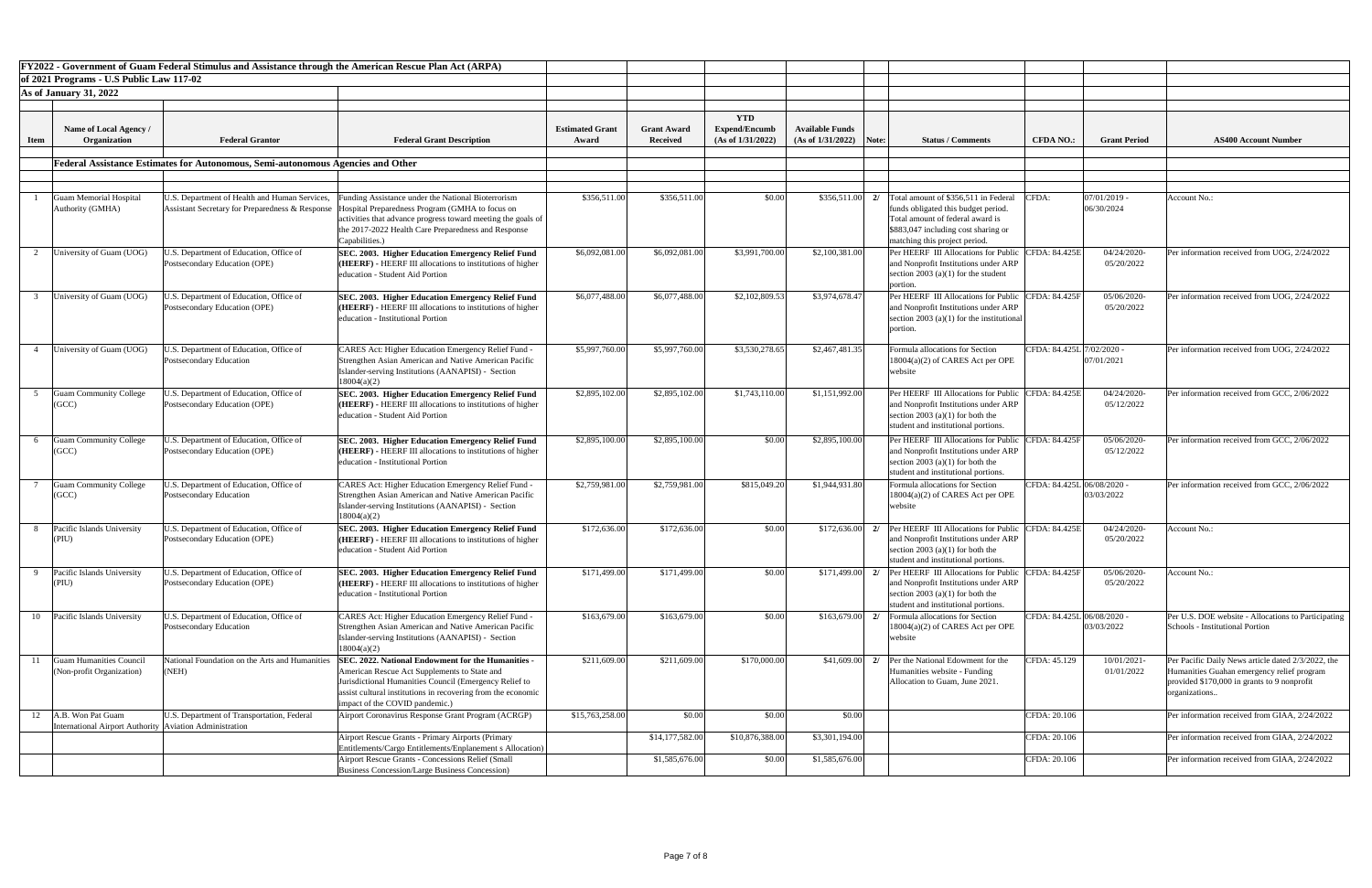|             |                                                                                | FY2022 - Government of Guam Federal Stimulus and Assistance through the American Rescue Plan Act (ARPA) |                                                                                                                                                                                                                                                               |                                 |                                |                                                         |                                                     |                                                                                                                                                                                               |                            |                            |                                                                                                                                                                 |
|-------------|--------------------------------------------------------------------------------|---------------------------------------------------------------------------------------------------------|---------------------------------------------------------------------------------------------------------------------------------------------------------------------------------------------------------------------------------------------------------------|---------------------------------|--------------------------------|---------------------------------------------------------|-----------------------------------------------------|-----------------------------------------------------------------------------------------------------------------------------------------------------------------------------------------------|----------------------------|----------------------------|-----------------------------------------------------------------------------------------------------------------------------------------------------------------|
|             | of 2021 Programs - U.S Public Law 117-02                                       |                                                                                                         |                                                                                                                                                                                                                                                               |                                 |                                |                                                         |                                                     |                                                                                                                                                                                               |                            |                            |                                                                                                                                                                 |
|             | <b>As of January 31, 2022</b>                                                  |                                                                                                         |                                                                                                                                                                                                                                                               |                                 |                                |                                                         |                                                     |                                                                                                                                                                                               |                            |                            |                                                                                                                                                                 |
|             |                                                                                |                                                                                                         |                                                                                                                                                                                                                                                               |                                 |                                |                                                         |                                                     |                                                                                                                                                                                               |                            |                            |                                                                                                                                                                 |
|             | Name of Local Agency /<br>Organization                                         | <b>Federal Grantor</b>                                                                                  | <b>Federal Grant Description</b>                                                                                                                                                                                                                              | <b>Estimated Grant</b><br>Award | <b>Grant Award</b><br>Received | <b>YTD</b><br><b>Expend/Encumb</b><br>(As of 1/31/2022) | <b>Available Funds</b><br>$(As of 1/31/2022)$ Note: | <b>Status / Comments</b>                                                                                                                                                                      | <b>CFDA NO.:</b>           | <b>Grant Period</b>        | <b>AS400 Account Number</b>                                                                                                                                     |
| <b>Item</b> |                                                                                |                                                                                                         |                                                                                                                                                                                                                                                               |                                 |                                |                                                         |                                                     |                                                                                                                                                                                               |                            |                            |                                                                                                                                                                 |
|             |                                                                                | Federal Assistance Estimates for Autonomous, Semi-autonomous Agencies and Other                         |                                                                                                                                                                                                                                                               |                                 |                                |                                                         |                                                     |                                                                                                                                                                                               |                            |                            |                                                                                                                                                                 |
|             |                                                                                |                                                                                                         |                                                                                                                                                                                                                                                               |                                 |                                |                                                         |                                                     |                                                                                                                                                                                               |                            |                            |                                                                                                                                                                 |
|             | <b>Guam Memorial Hospital</b><br>Authority (GMHA)                              | J.S. Department of Health and Human Services,<br>Assistant Secretary for Preparedness & Response        | unding Assistance under the National Bioterrorism<br>Hospital Preparedness Program (GMHA to focus on<br>activities that advance progress toward meeting the goals of<br>the 2017-2022 Health Care Preparedness and Response<br>Capabilities.)                 | \$356,511.00                    | \$356,511.00                   | \$0.00                                                  | \$356,511.00                                        | Total amount of \$356,511 in Federal<br>2l<br>funds obligated this budget period.<br>Total amount of federal award is<br>\$883,047 including cost sharing or<br>matching this project period. | CFDA:                      | 07/01/2019 -<br>06/30/2024 | Account No.:                                                                                                                                                    |
|             | University of Guam (UOG)                                                       | J.S. Department of Education, Office of<br>Postsecondary Education (OPE)                                | SEC. 2003. Higher Education Emergency Relief Fund<br>$HEERF$ ) - HEERF III allocations to institutions of higher<br>education - Student Aid Portion                                                                                                           | \$6,092,081.00                  | \$6,092,081.00                 | \$3,991,700.00                                          | \$2,100,381.00                                      | Per HEERF III Allocations for Public<br>and Nonprofit Institutions under ARP<br>section 2003 (a)(1) for the student<br>portion.                                                               | <b>CFDA: 84.425E</b>       | 04/24/2020<br>05/20/2022   | Per information received from UOG, 2/24/2022                                                                                                                    |
|             | University of Guam (UOG)                                                       | J.S. Department of Education, Office of<br>Postsecondary Education (OPE)                                | SEC. 2003. Higher Education Emergency Relief Fund<br>$HEERF$ ) - HEERF III allocations to institutions of higher<br>education - Institutional Portion                                                                                                         | \$6,077,488.00                  | \$6,077,488.00                 | \$2,102,809.53                                          | \$3,974,678.47                                      | Per HEERF III Allocations for Public<br>and Nonprofit Institutions under ARP<br>section 2003 (a)(1) for the institutional<br>portion.                                                         | CFDA: 84.425F              | 05/06/2020<br>05/20/2022   | Per information received from UOG, 2/24/2022                                                                                                                    |
|             | University of Guam (UOG)                                                       | J.S. Department of Education, Office of<br>Postsecondary Education                                      | CARES Act: Higher Education Emergency Relief Fund -<br>Strengthen Asian American and Native American Pacific<br>Islander-serving Institutions (AANAPISI) - Section<br>18004(a)(2)                                                                             | \$5,997,760.00                  | \$5,997,760.00                 | \$3,530,278.65                                          | \$2,467,481.35                                      | Formula allocations for Section<br>18004(a)(2) of CARES Act per OPE<br>website                                                                                                                | CFDA: 84.425L 7/02/2020 -  | 07/01/2021                 | Per information received from UOG, 2/24/2022                                                                                                                    |
|             | <b>Guam Community College</b><br>(GCC)                                         | J.S. Department of Education, Office of<br>Postsecondary Education (OPE)                                | SEC. 2003. Higher Education Emergency Relief Fund<br>$HEERF$ ) - HEERF III allocations to institutions of higher<br>education - Student Aid Portion                                                                                                           | \$2,895,102.00                  | \$2,895,102.00                 | \$1,743,110.00                                          | \$1,151,992.00                                      | Per HEERF III Allocations for Public<br>and Nonprofit Institutions under ARP<br>section 2003 (a)(1) for both the<br>student and institutional portions.                                       | <b>CFDA: 84.425E</b>       | 04/24/2020<br>05/12/2022   | Per information received from GCC, 2/06/2022                                                                                                                    |
|             | <b>Guam Community College</b><br>(GCC)                                         | J.S. Department of Education, Office of<br>Postsecondary Education (OPE)                                | SEC. 2003. Higher Education Emergency Relief Fund<br>(HEERF) - HEERF III allocations to institutions of higher<br>education - Institutional Portion                                                                                                           | \$2,895,100.00                  | \$2,895,100.00                 | \$0.00                                                  | \$2,895,100.00                                      | Per HEERF III Allocations for Public<br>and Nonprofit Institutions under ARP<br>section 2003 (a)(1) for both the<br>student and institutional portions.                                       | <b>FDA: 84.425F</b>        | 05/06/2020<br>05/12/2022   | Per information received from GCC, 2/06/2022                                                                                                                    |
|             | <b>Guam Community College</b><br>(GCC)                                         | J.S. Department of Education, Office of<br><b>Postsecondary Education</b>                               | <b>CARES Act: Higher Education Emergency Relief Fund -</b><br>Strengthen Asian American and Native American Pacific<br>Islander-serving Institutions (AANAPISI) - Section<br>18004(a)(2)                                                                      | \$2,759,981.00                  | \$2,759,981.00                 | \$815,049.20                                            | \$1,944,931.80                                      | Formula allocations for Section<br>18004(a)(2) of CARES Act per OPE<br>website                                                                                                                | CFDA: 84.425L 06/08/2020 - | 03/03/2022                 | Per information received from GCC, 2/06/2022                                                                                                                    |
|             | Pacific Islands University<br>(PIU)                                            | J.S. Department of Education, Office of<br>Postsecondary Education (OPE)                                | SEC. 2003. Higher Education Emergency Relief Fund<br>(HEERF) - HEERF III allocations to institutions of higher<br>education - Student Aid Portion                                                                                                             | \$172,636.00                    | \$172,636.00                   | \$0.00                                                  | \$172,636.00                                        | <b>Per HEERF III Allocations for Public</b><br>2/<br>and Nonprofit Institutions under ARP<br>section 2003 (a)(1) for both the<br>student and institutional portions.                          | CFDA: 84.425E              | 04/24/2020<br>05/20/2022   | Account No.:                                                                                                                                                    |
|             | Pacific Islands University<br>(PIU)                                            | J.S. Department of Education, Office of<br>Postsecondary Education (OPE)                                | SEC. 2003. Higher Education Emergency Relief Fund<br>(HEERF) - HEERF III allocations to institutions of higher<br>education - Institutional Portion                                                                                                           | \$171,499.00                    | \$171,499.00                   | \$0.00                                                  | \$171,499.00                                        | <b>Per HEERF III Allocations for Public</b><br>2l<br>and Nonprofit Institutions under ARP<br>section 2003 (a)(1) for both the<br>student and institutional portions.                          | <b>FDA: 84.425F</b>        | 05/06/2020<br>05/20/2022   | <b>Account No.:</b>                                                                                                                                             |
| 10          | Pacific Islands University                                                     | J.S. Department of Education, Office of<br><b>Postsecondary Education</b>                               | CARES Act: Higher Education Emergency Relief Fund -<br>Strengthen Asian American and Native American Pacific<br>Islander-serving Institutions (AANAPISI) - Section<br>18004(a)(2)                                                                             | \$163,679.00                    | \$163,679.00                   | \$0.00                                                  | \$163,679.00                                        | Formula allocations for Section<br>2/<br>$18004(a)(2)$ of CARES Act per OPE<br>website                                                                                                        | CFDA: 84.425L 06/08/2020 - | 03/03/2022                 | Per U.S. DOE website - Allocations to Participati<br><b>Schools - Institutional Portion</b>                                                                     |
|             | <b>Guam Humanities Council</b><br>(Non-profit Organization)                    | National Foundation on the Arts and Humanities<br>(NEH)                                                 | SEC. 2022. National Endowment for the Humanities -<br>American Rescue Act Supplements to State and<br>urisdictional Humanities Council (Emergency Relief to<br>assist cultural institutions in recovering from the economic<br>impact of the COVID pandemic.) | \$211,609.00                    | \$211,609.00                   | \$170,000.00                                            | \$41,609.00                                         | Per the National Edowment for the<br>2l<br>Humanities website - Funding<br>Allocation to Guam, June 2021.                                                                                     | CFDA: 45.129               | 10/01/2021<br>01/01/2022   | Per Pacific Daily News article dated 2/3/2022, th<br>Humanities Guahan emergency relief program<br>provided \$170,000 in grants to 9 nonprofit<br>organizations |
| 12          | A.B. Won Pat Guam<br>International Airport Authority   Aviation Administration | U.S. Department of Transportation, Federal                                                              | Airport Coronavirus Response Grant Program (ACRGP)                                                                                                                                                                                                            | \$15,763,258.00                 | \$0.00                         | \$0.00                                                  | \$0.00                                              |                                                                                                                                                                                               | CFDA: 20.106               |                            | Per information received from GIAA, 2/24/2022                                                                                                                   |
|             |                                                                                |                                                                                                         | <b>Airport Rescue Grants - Primary Airports (Primary</b><br>Entitlements/Cargo Entitlements/Enplanement s Allocation)                                                                                                                                         |                                 | \$14,177,582.00                | \$10,876,388.00                                         | \$3,301,194.00                                      |                                                                                                                                                                                               | CFDA: 20.106               |                            | Per information received from GIAA, 2/24/2022                                                                                                                   |
|             |                                                                                |                                                                                                         | <b>Airport Rescue Grants - Concessions Relief (Small</b><br><b>Business Concession/Large Business Concession)</b>                                                                                                                                             |                                 | \$1,585,676.00                 | \$0.00                                                  | \$1,585,676.00                                      |                                                                                                                                                                                               | CFDA: 20.106               |                            | Per information received from GIAA, 2/24/2022                                                                                                                   |